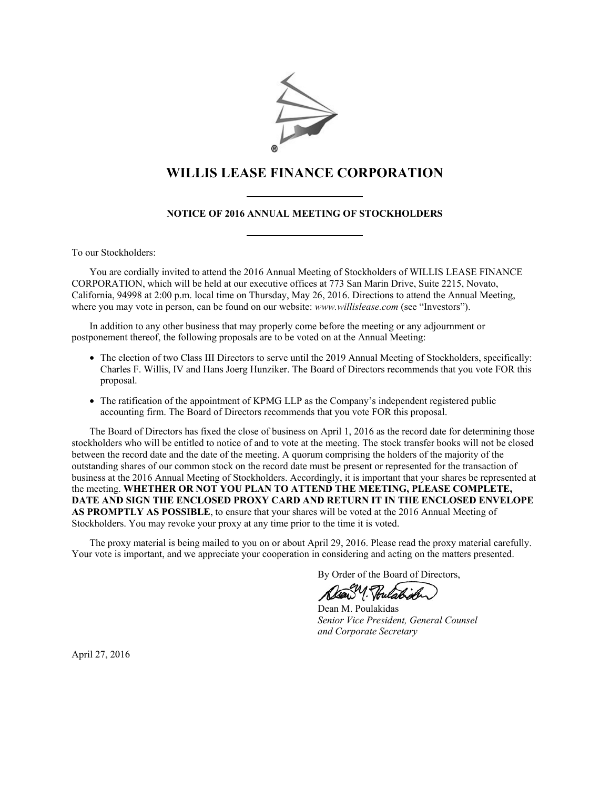

# **WILLIS LEASE FINANCE CORPORATION**

### **NOTICE OF 2016 ANNUAL MEETING OF STOCKHOLDERS**

To our Stockholders:

You are cordially invited to attend the 2016 Annual Meeting of Stockholders of WILLIS LEASE FINANCE CORPORATION, which will be held at our executive offices at 773 San Marin Drive, Suite 2215, Novato, California, 94998 at 2:00 p.m. local time on Thursday, May 26, 2016. Directions to attend the Annual Meeting, where you may vote in person, can be found on our website: *www.willislease.com* (see "Investors").

In addition to any other business that may properly come before the meeting or any adjournment or postponement thereof, the following proposals are to be voted on at the Annual Meeting:

- The election of two Class III Directors to serve until the 2019 Annual Meeting of Stockholders, specifically: Charles F. Willis, IV and Hans Joerg Hunziker. The Board of Directors recommends that you vote FOR this proposal.
- The ratification of the appointment of KPMG LLP as the Company's independent registered public accounting firm. The Board of Directors recommends that you vote FOR this proposal.

The Board of Directors has fixed the close of business on April 1, 2016 as the record date for determining those stockholders who will be entitled to notice of and to vote at the meeting. The stock transfer books will not be closed between the record date and the date of the meeting. A quorum comprising the holders of the majority of the outstanding shares of our common stock on the record date must be present or represented for the transaction of business at the 2016 Annual Meeting of Stockholders. Accordingly, it is important that your shares be represented at the meeting. **WHETHER OR NOT YOU PLAN TO ATTEND THE MEETING, PLEASE COMPLETE, DATE AND SIGN THE ENCLOSED PROXY CARD AND RETURN IT IN THE ENCLOSED ENVELOPE AS PROMPTLY AS POSSIBLE**, to ensure that your shares will be voted at the 2016 Annual Meeting of Stockholders. You may revoke your proxy at any time prior to the time it is voted.

The proxy material is being mailed to you on or about April 29, 2016. Please read the proxy material carefully. Your vote is important, and we appreciate your cooperation in considering and acting on the matters presented.

By Order of the Board of Directors,

 Dean M. Poulakidas *Senior Vice President, General Counsel and Corporate Secretary*

April 27, 2016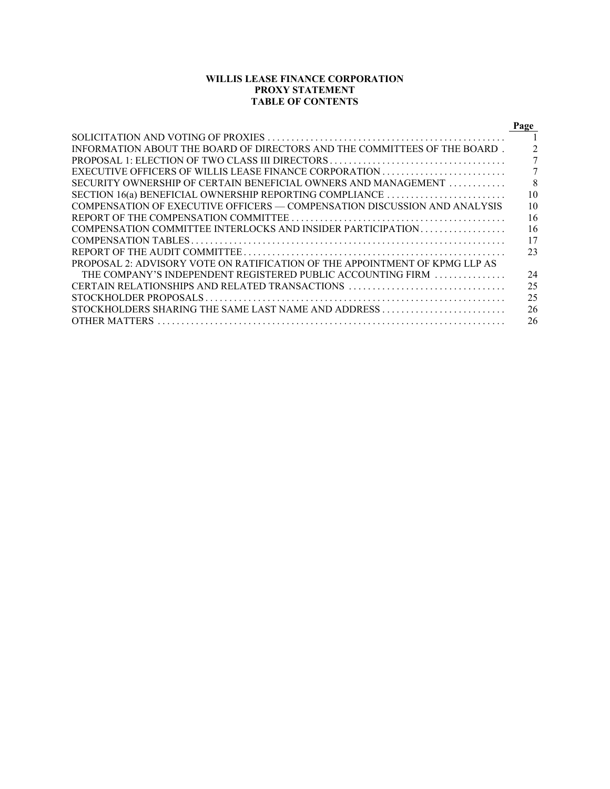### **WILLIS LEASE FINANCE CORPORATION PROXY STATEMENT TABLE OF CONTENTS**

|                                                                             | Page         |
|-----------------------------------------------------------------------------|--------------|
|                                                                             |              |
| INFORMATION ABOUT THE BOARD OF DIRECTORS AND THE COMMITTEES OF THE BOARD.   |              |
|                                                                             |              |
|                                                                             |              |
| SECURITY OWNERSHIP OF CERTAIN BENEFICIAL OWNERS AND MANAGEMENT              | $\mathbf{8}$ |
|                                                                             | 10           |
| COMPENSATION OF EXECUTIVE OFFICERS — COMPENSATION DISCUSSION AND ANALYSIS   | 10           |
|                                                                             | 16           |
| COMPENSATION COMMITTEE INTERLOCKS AND INSIDER PARTICIPATION                 | 16           |
|                                                                             | 17           |
|                                                                             | 23           |
| PROPOSAL 2: ADVISORY VOTE ON RATIFICATION OF THE APPOINTMENT OF KPMG LLP AS |              |
| THE COMPANY'S INDEPENDENT REGISTERED PUBLIC ACCOUNTING FIRM                 | 24           |
| CERTAIN RELATIONSHIPS AND RELATED TRANSACTIONS                              | 25           |
|                                                                             | 25           |
|                                                                             | 26           |
| <b>OTHER MATTERS</b>                                                        | 26           |
|                                                                             |              |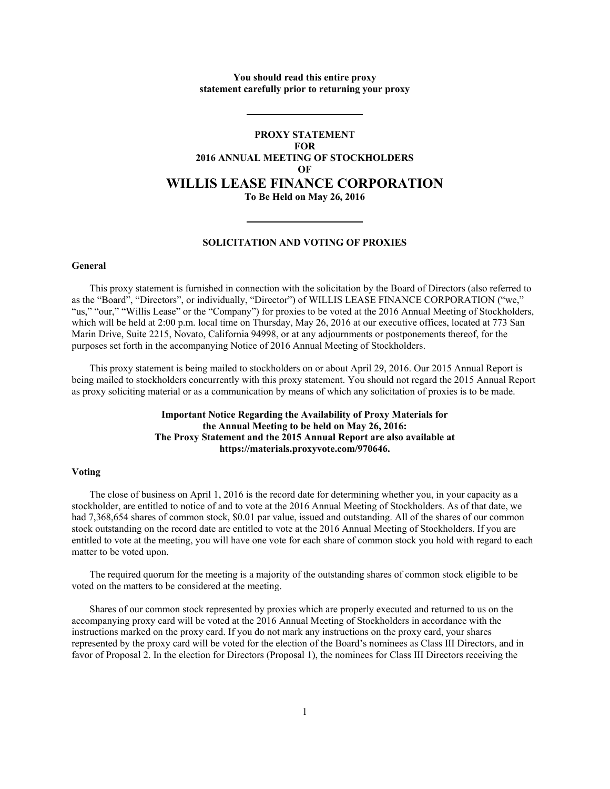### **You should read this entire proxy statement carefully prior to returning your proxy**

## **PROXY STATEMENT FOR 2016 ANNUAL MEETING OF STOCKHOLDERS OF WILLIS LEASE FINANCE CORPORATION To Be Held on May 26, 2016**

#### **SOLICITATION AND VOTING OF PROXIES**

#### **General**

This proxy statement is furnished in connection with the solicitation by the Board of Directors (also referred to as the "Board", "Directors", or individually, "Director") of WILLIS LEASE FINANCE CORPORATION ("we," "us," "our," "Willis Lease" or the "Company") for proxies to be voted at the 2016 Annual Meeting of Stockholders, which will be held at 2:00 p.m. local time on Thursday, May 26, 2016 at our executive offices, located at 773 San Marin Drive, Suite 2215, Novato, California 94998, or at any adjournments or postponements thereof, for the purposes set forth in the accompanying Notice of 2016 Annual Meeting of Stockholders.

This proxy statement is being mailed to stockholders on or about April 29, 2016. Our 2015 Annual Report is being mailed to stockholders concurrently with this proxy statement. You should not regard the 2015 Annual Report as proxy soliciting material or as a communication by means of which any solicitation of proxies is to be made.

### **Important Notice Regarding the Availability of Proxy Materials for the Annual Meeting to be held on May 26, 2016: The Proxy Statement and the 2015 Annual Report are also available at https://materials.proxyvote.com/970646.**

#### **Voting**

The close of business on April 1, 2016 is the record date for determining whether you, in your capacity as a stockholder, are entitled to notice of and to vote at the 2016 Annual Meeting of Stockholders. As of that date, we had 7,368,654 shares of common stock, \$0.01 par value, issued and outstanding. All of the shares of our common stock outstanding on the record date are entitled to vote at the 2016 Annual Meeting of Stockholders. If you are entitled to vote at the meeting, you will have one vote for each share of common stock you hold with regard to each matter to be voted upon.

The required quorum for the meeting is a majority of the outstanding shares of common stock eligible to be voted on the matters to be considered at the meeting.

Shares of our common stock represented by proxies which are properly executed and returned to us on the accompanying proxy card will be voted at the 2016 Annual Meeting of Stockholders in accordance with the instructions marked on the proxy card. If you do not mark any instructions on the proxy card, your shares represented by the proxy card will be voted for the election of the Board's nominees as Class III Directors, and in favor of Proposal 2. In the election for Directors (Proposal 1), the nominees for Class III Directors receiving the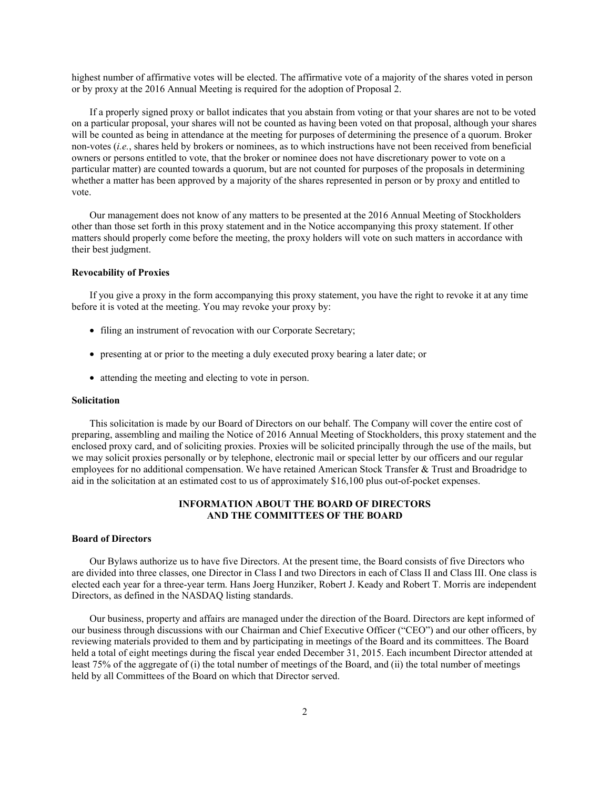highest number of affirmative votes will be elected. The affirmative vote of a majority of the shares voted in person or by proxy at the 2016 Annual Meeting is required for the adoption of Proposal 2.

If a properly signed proxy or ballot indicates that you abstain from voting or that your shares are not to be voted on a particular proposal, your shares will not be counted as having been voted on that proposal, although your shares will be counted as being in attendance at the meeting for purposes of determining the presence of a quorum. Broker non-votes (*i.e.*, shares held by brokers or nominees, as to which instructions have not been received from beneficial owners or persons entitled to vote, that the broker or nominee does not have discretionary power to vote on a particular matter) are counted towards a quorum, but are not counted for purposes of the proposals in determining whether a matter has been approved by a majority of the shares represented in person or by proxy and entitled to vote.

Our management does not know of any matters to be presented at the 2016 Annual Meeting of Stockholders other than those set forth in this proxy statement and in the Notice accompanying this proxy statement. If other matters should properly come before the meeting, the proxy holders will vote on such matters in accordance with their best judgment.

#### **Revocability of Proxies**

If you give a proxy in the form accompanying this proxy statement, you have the right to revoke it at any time before it is voted at the meeting. You may revoke your proxy by:

- filing an instrument of revocation with our Corporate Secretary;
- presenting at or prior to the meeting a duly executed proxy bearing a later date; or
- attending the meeting and electing to vote in person.

#### **Solicitation**

This solicitation is made by our Board of Directors on our behalf. The Company will cover the entire cost of preparing, assembling and mailing the Notice of 2016 Annual Meeting of Stockholders, this proxy statement and the enclosed proxy card, and of soliciting proxies. Proxies will be solicited principally through the use of the mails, but we may solicit proxies personally or by telephone, electronic mail or special letter by our officers and our regular employees for no additional compensation. We have retained American Stock Transfer & Trust and Broadridge to aid in the solicitation at an estimated cost to us of approximately \$16,100 plus out-of-pocket expenses.

### **INFORMATION ABOUT THE BOARD OF DIRECTORS AND THE COMMITTEES OF THE BOARD**

#### **Board of Directors**

Our Bylaws authorize us to have five Directors. At the present time, the Board consists of five Directors who are divided into three classes, one Director in Class I and two Directors in each of Class II and Class III. One class is elected each year for a three-year term. Hans Joerg Hunziker, Robert J. Keady and Robert T. Morris are independent Directors, as defined in the NASDAQ listing standards.

Our business, property and affairs are managed under the direction of the Board. Directors are kept informed of our business through discussions with our Chairman and Chief Executive Officer ("CEO") and our other officers, by reviewing materials provided to them and by participating in meetings of the Board and its committees. The Board held a total of eight meetings during the fiscal year ended December 31, 2015. Each incumbent Director attended at least 75% of the aggregate of (i) the total number of meetings of the Board, and (ii) the total number of meetings held by all Committees of the Board on which that Director served.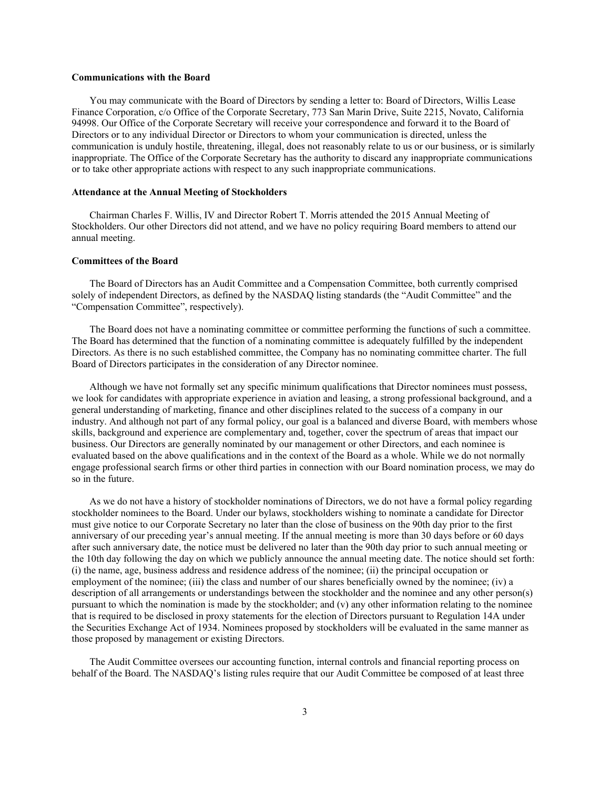#### **Communications with the Board**

You may communicate with the Board of Directors by sending a letter to: Board of Directors, Willis Lease Finance Corporation, c/o Office of the Corporate Secretary, 773 San Marin Drive, Suite 2215, Novato, California 94998. Our Office of the Corporate Secretary will receive your correspondence and forward it to the Board of Directors or to any individual Director or Directors to whom your communication is directed, unless the communication is unduly hostile, threatening, illegal, does not reasonably relate to us or our business, or is similarly inappropriate. The Office of the Corporate Secretary has the authority to discard any inappropriate communications or to take other appropriate actions with respect to any such inappropriate communications.

#### **Attendance at the Annual Meeting of Stockholders**

Chairman Charles F. Willis, IV and Director Robert T. Morris attended the 2015 Annual Meeting of Stockholders. Our other Directors did not attend, and we have no policy requiring Board members to attend our annual meeting.

#### **Committees of the Board**

The Board of Directors has an Audit Committee and a Compensation Committee, both currently comprised solely of independent Directors, as defined by the NASDAQ listing standards (the "Audit Committee" and the "Compensation Committee", respectively).

The Board does not have a nominating committee or committee performing the functions of such a committee. The Board has determined that the function of a nominating committee is adequately fulfilled by the independent Directors. As there is no such established committee, the Company has no nominating committee charter. The full Board of Directors participates in the consideration of any Director nominee.

Although we have not formally set any specific minimum qualifications that Director nominees must possess, we look for candidates with appropriate experience in aviation and leasing, a strong professional background, and a general understanding of marketing, finance and other disciplines related to the success of a company in our industry. And although not part of any formal policy, our goal is a balanced and diverse Board, with members whose skills, background and experience are complementary and, together, cover the spectrum of areas that impact our business. Our Directors are generally nominated by our management or other Directors, and each nominee is evaluated based on the above qualifications and in the context of the Board as a whole. While we do not normally engage professional search firms or other third parties in connection with our Board nomination process, we may do so in the future.

As we do not have a history of stockholder nominations of Directors, we do not have a formal policy regarding stockholder nominees to the Board. Under our bylaws, stockholders wishing to nominate a candidate for Director must give notice to our Corporate Secretary no later than the close of business on the 90th day prior to the first anniversary of our preceding year's annual meeting. If the annual meeting is more than 30 days before or 60 days after such anniversary date, the notice must be delivered no later than the 90th day prior to such annual meeting or the 10th day following the day on which we publicly announce the annual meeting date. The notice should set forth: (i) the name, age, business address and residence address of the nominee; (ii) the principal occupation or employment of the nominee; (iii) the class and number of our shares beneficially owned by the nominee; (iv) a description of all arrangements or understandings between the stockholder and the nominee and any other person(s) pursuant to which the nomination is made by the stockholder; and  $(v)$  any other information relating to the nominee that is required to be disclosed in proxy statements for the election of Directors pursuant to Regulation 14A under the Securities Exchange Act of 1934. Nominees proposed by stockholders will be evaluated in the same manner as those proposed by management or existing Directors.

The Audit Committee oversees our accounting function, internal controls and financial reporting process on behalf of the Board. The NASDAQ's listing rules require that our Audit Committee be composed of at least three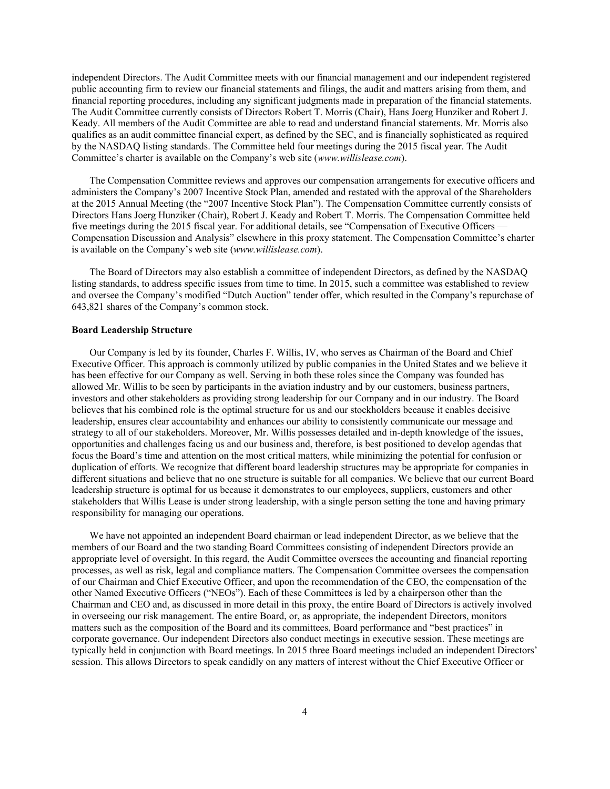independent Directors. The Audit Committee meets with our financial management and our independent registered public accounting firm to review our financial statements and filings, the audit and matters arising from them, and financial reporting procedures, including any significant judgments made in preparation of the financial statements. The Audit Committee currently consists of Directors Robert T. Morris (Chair), Hans Joerg Hunziker and Robert J. Keady. All members of the Audit Committee are able to read and understand financial statements. Mr. Morris also qualifies as an audit committee financial expert, as defined by the SEC, and is financially sophisticated as required by the NASDAQ listing standards. The Committee held four meetings during the 2015 fiscal year. The Audit Committee's charter is available on the Company's web site (*www.willislease.com*).

The Compensation Committee reviews and approves our compensation arrangements for executive officers and administers the Company's 2007 Incentive Stock Plan, amended and restated with the approval of the Shareholders at the 2015 Annual Meeting (the "2007 Incentive Stock Plan"). The Compensation Committee currently consists of Directors Hans Joerg Hunziker (Chair), Robert J. Keady and Robert T. Morris. The Compensation Committee held five meetings during the 2015 fiscal year. For additional details, see "Compensation of Executive Officers — Compensation Discussion and Analysis" elsewhere in this proxy statement. The Compensation Committee's charter is available on the Company's web site (*www.willislease.com*).

The Board of Directors may also establish a committee of independent Directors, as defined by the NASDAQ listing standards, to address specific issues from time to time. In 2015, such a committee was established to review and oversee the Company's modified "Dutch Auction" tender offer, which resulted in the Company's repurchase of 643,821 shares of the Company's common stock.

#### **Board Leadership Structure**

Our Company is led by its founder, Charles F. Willis, IV, who serves as Chairman of the Board and Chief Executive Officer. This approach is commonly utilized by public companies in the United States and we believe it has been effective for our Company as well. Serving in both these roles since the Company was founded has allowed Mr. Willis to be seen by participants in the aviation industry and by our customers, business partners, investors and other stakeholders as providing strong leadership for our Company and in our industry. The Board believes that his combined role is the optimal structure for us and our stockholders because it enables decisive leadership, ensures clear accountability and enhances our ability to consistently communicate our message and strategy to all of our stakeholders. Moreover, Mr. Willis possesses detailed and in-depth knowledge of the issues, opportunities and challenges facing us and our business and, therefore, is best positioned to develop agendas that focus the Board's time and attention on the most critical matters, while minimizing the potential for confusion or duplication of efforts. We recognize that different board leadership structures may be appropriate for companies in different situations and believe that no one structure is suitable for all companies. We believe that our current Board leadership structure is optimal for us because it demonstrates to our employees, suppliers, customers and other stakeholders that Willis Lease is under strong leadership, with a single person setting the tone and having primary responsibility for managing our operations.

We have not appointed an independent Board chairman or lead independent Director, as we believe that the members of our Board and the two standing Board Committees consisting of independent Directors provide an appropriate level of oversight. In this regard, the Audit Committee oversees the accounting and financial reporting processes, as well as risk, legal and compliance matters. The Compensation Committee oversees the compensation of our Chairman and Chief Executive Officer, and upon the recommendation of the CEO, the compensation of the other Named Executive Officers ("NEOs"). Each of these Committees is led by a chairperson other than the Chairman and CEO and, as discussed in more detail in this proxy, the entire Board of Directors is actively involved in overseeing our risk management. The entire Board, or, as appropriate, the independent Directors, monitors matters such as the composition of the Board and its committees, Board performance and "best practices" in corporate governance. Our independent Directors also conduct meetings in executive session. These meetings are typically held in conjunction with Board meetings. In 2015 three Board meetings included an independent Directors' session. This allows Directors to speak candidly on any matters of interest without the Chief Executive Officer or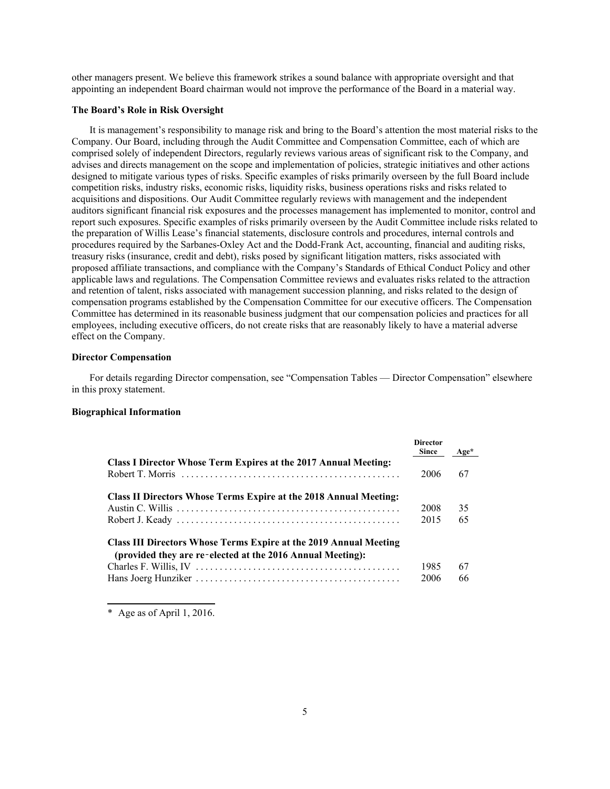other managers present. We believe this framework strikes a sound balance with appropriate oversight and that appointing an independent Board chairman would not improve the performance of the Board in a material way.

#### **The Board's Role in Risk Oversight**

It is management's responsibility to manage risk and bring to the Board's attention the most material risks to the Company. Our Board, including through the Audit Committee and Compensation Committee, each of which are comprised solely of independent Directors, regularly reviews various areas of significant risk to the Company, and advises and directs management on the scope and implementation of policies, strategic initiatives and other actions designed to mitigate various types of risks. Specific examples of risks primarily overseen by the full Board include competition risks, industry risks, economic risks, liquidity risks, business operations risks and risks related to acquisitions and dispositions. Our Audit Committee regularly reviews with management and the independent auditors significant financial risk exposures and the processes management has implemented to monitor, control and report such exposures. Specific examples of risks primarily overseen by the Audit Committee include risks related to the preparation of Willis Lease's financial statements, disclosure controls and procedures, internal controls and procedures required by the Sarbanes-Oxley Act and the Dodd-Frank Act, accounting, financial and auditing risks, treasury risks (insurance, credit and debt), risks posed by significant litigation matters, risks associated with proposed affiliate transactions, and compliance with the Company's Standards of Ethical Conduct Policy and other applicable laws and regulations. The Compensation Committee reviews and evaluates risks related to the attraction and retention of talent, risks associated with management succession planning, and risks related to the design of compensation programs established by the Compensation Committee for our executive officers. The Compensation Committee has determined in its reasonable business judgment that our compensation policies and practices for all employees, including executive officers, do not create risks that are reasonably likely to have a material adverse effect on the Company.

#### **Director Compensation**

For details regarding Director compensation, see "Compensation Tables — Director Compensation" elsewhere in this proxy statement.

#### **Biographical Information**

|                                                                                                                                 | <b>Director</b><br><b>Since</b> | Age* |
|---------------------------------------------------------------------------------------------------------------------------------|---------------------------------|------|
| Class I Director Whose Term Expires at the 2017 Annual Meeting:                                                                 |                                 |      |
|                                                                                                                                 | 2006                            | 67   |
| Class II Directors Whose Terms Expire at the 2018 Annual Meeting:                                                               |                                 |      |
|                                                                                                                                 | 2008                            | 35   |
|                                                                                                                                 | 2015                            | 65   |
| Class III Directors Whose Terms Expire at the 2019 Annual Meeting<br>(provided they are re-elected at the 2016 Annual Meeting): |                                 |      |
|                                                                                                                                 | 1985                            | 67   |
|                                                                                                                                 | 2006                            | 66   |

\* Age as of April 1, 2016.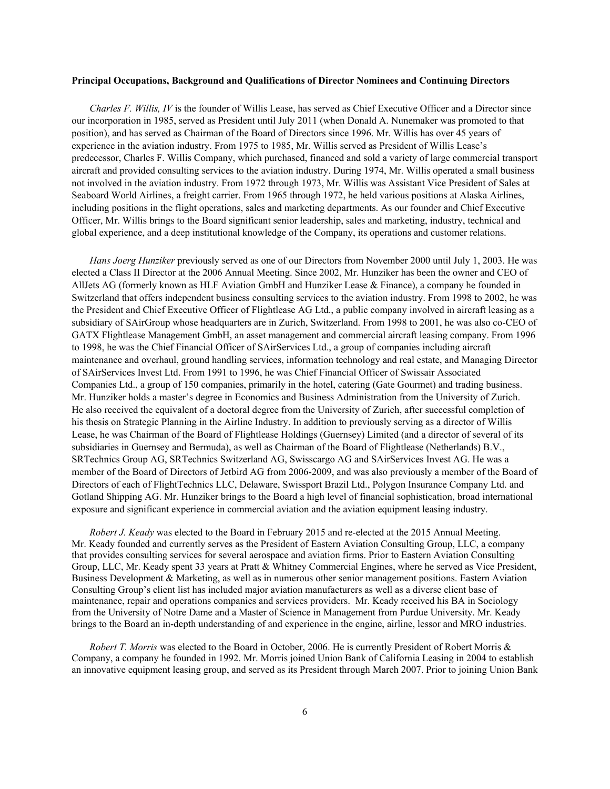#### **Principal Occupations, Background and Qualifications of Director Nominees and Continuing Directors**

*Charles F. Willis, IV* is the founder of Willis Lease, has served as Chief Executive Officer and a Director since our incorporation in 1985, served as President until July 2011 (when Donald A. Nunemaker was promoted to that position), and has served as Chairman of the Board of Directors since 1996. Mr. Willis has over 45 years of experience in the aviation industry. From 1975 to 1985, Mr. Willis served as President of Willis Lease's predecessor, Charles F. Willis Company, which purchased, financed and sold a variety of large commercial transport aircraft and provided consulting services to the aviation industry. During 1974, Mr. Willis operated a small business not involved in the aviation industry. From 1972 through 1973, Mr. Willis was Assistant Vice President of Sales at Seaboard World Airlines, a freight carrier. From 1965 through 1972, he held various positions at Alaska Airlines, including positions in the flight operations, sales and marketing departments. As our founder and Chief Executive Officer, Mr. Willis brings to the Board significant senior leadership, sales and marketing, industry, technical and global experience, and a deep institutional knowledge of the Company, its operations and customer relations.

*Hans Joerg Hunziker* previously served as one of our Directors from November 2000 until July 1, 2003. He was elected a Class II Director at the 2006 Annual Meeting. Since 2002, Mr. Hunziker has been the owner and CEO of AllJets AG (formerly known as HLF Aviation GmbH and Hunziker Lease & Finance), a company he founded in Switzerland that offers independent business consulting services to the aviation industry. From 1998 to 2002, he was the President and Chief Executive Officer of Flightlease AG Ltd., a public company involved in aircraft leasing as a subsidiary of SAirGroup whose headquarters are in Zurich, Switzerland. From 1998 to 2001, he was also co-CEO of GATX Flightlease Management GmbH, an asset management and commercial aircraft leasing company. From 1996 to 1998, he was the Chief Financial Officer of SAirServices Ltd., a group of companies including aircraft maintenance and overhaul, ground handling services, information technology and real estate, and Managing Director of SAirServices Invest Ltd. From 1991 to 1996, he was Chief Financial Officer of Swissair Associated Companies Ltd., a group of 150 companies, primarily in the hotel, catering (Gate Gourmet) and trading business. Mr. Hunziker holds a master's degree in Economics and Business Administration from the University of Zurich. He also received the equivalent of a doctoral degree from the University of Zurich, after successful completion of his thesis on Strategic Planning in the Airline Industry. In addition to previously serving as a director of Willis Lease, he was Chairman of the Board of Flightlease Holdings (Guernsey) Limited (and a director of several of its subsidiaries in Guernsey and Bermuda), as well as Chairman of the Board of Flightlease (Netherlands) B.V., SRTechnics Group AG, SRTechnics Switzerland AG, Swisscargo AG and SAirServices Invest AG. He was a member of the Board of Directors of Jetbird AG from 2006-2009, and was also previously a member of the Board of Directors of each of FlightTechnics LLC, Delaware, Swissport Brazil Ltd., Polygon Insurance Company Ltd. and Gotland Shipping AG. Mr. Hunziker brings to the Board a high level of financial sophistication, broad international exposure and significant experience in commercial aviation and the aviation equipment leasing industry.

*Robert J. Keady* was elected to the Board in February 2015 and re-elected at the 2015 Annual Meeting. Mr. Keady founded and currently serves as the President of Eastern Aviation Consulting Group, LLC, a company that provides consulting services for several aerospace and aviation firms. Prior to Eastern Aviation Consulting Group, LLC, Mr. Keady spent 33 years at Pratt & Whitney Commercial Engines, where he served as Vice President, Business Development & Marketing, as well as in numerous other senior management positions. Eastern Aviation Consulting Group's client list has included major aviation manufacturers as well as a diverse client base of maintenance, repair and operations companies and services providers. Mr. Keady received his BA in Sociology from the University of Notre Dame and a Master of Science in Management from Purdue University. Mr. Keady brings to the Board an in-depth understanding of and experience in the engine, airline, lessor and MRO industries.

*Robert T. Morris* was elected to the Board in October, 2006. He is currently President of Robert Morris & Company, a company he founded in 1992. Mr. Morris joined Union Bank of California Leasing in 2004 to establish an innovative equipment leasing group, and served as its President through March 2007. Prior to joining Union Bank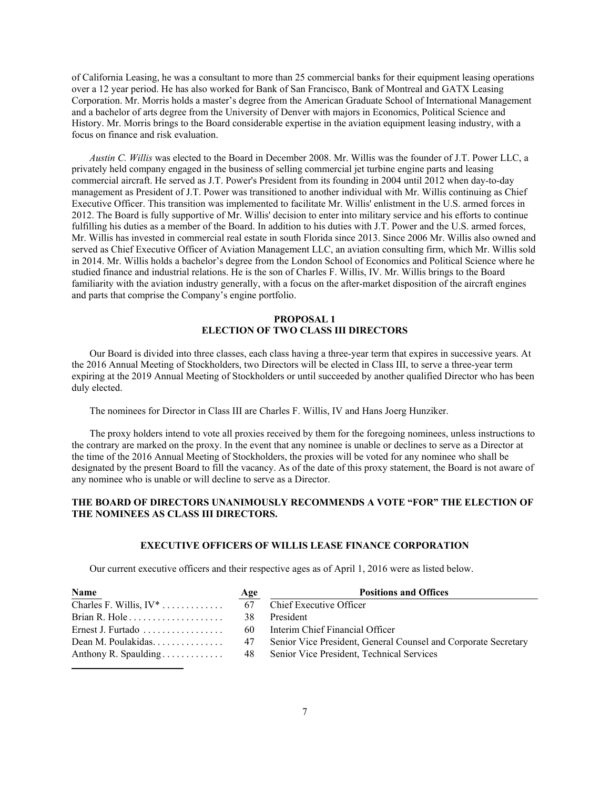of California Leasing, he was a consultant to more than 25 commercial banks for their equipment leasing operations over a 12 year period. He has also worked for Bank of San Francisco, Bank of Montreal and GATX Leasing Corporation. Mr. Morris holds a master's degree from the American Graduate School of International Management and a bachelor of arts degree from the University of Denver with majors in Economics, Political Science and History. Mr. Morris brings to the Board considerable expertise in the aviation equipment leasing industry, with a focus on finance and risk evaluation.

*Austin C. Willis* was elected to the Board in December 2008. Mr. Willis was the founder of J.T. Power LLC, a privately held company engaged in the business of selling commercial jet turbine engine parts and leasing commercial aircraft. He served as J.T. Power's President from its founding in 2004 until 2012 when day-to-day management as President of J.T. Power was transitioned to another individual with Mr. Willis continuing as Chief Executive Officer. This transition was implemented to facilitate Mr. Willis' enlistment in the U.S. armed forces in 2012. The Board is fully supportive of Mr. Willis' decision to enter into military service and his efforts to continue fulfilling his duties as a member of the Board. In addition to his duties with J.T. Power and the U.S. armed forces, Mr. Willis has invested in commercial real estate in south Florida since 2013. Since 2006 Mr. Willis also owned and served as Chief Executive Officer of Aviation Management LLC, an aviation consulting firm, which Mr. Willis sold in 2014. Mr. Willis holds a bachelor's degree from the London School of Economics and Political Science where he studied finance and industrial relations. He is the son of Charles F. Willis, IV. Mr. Willis brings to the Board familiarity with the aviation industry generally, with a focus on the after-market disposition of the aircraft engines and parts that comprise the Company's engine portfolio.

### **PROPOSAL 1 ELECTION OF TWO CLASS III DIRECTORS**

Our Board is divided into three classes, each class having a three-year term that expires in successive years. At the 2016 Annual Meeting of Stockholders, two Directors will be elected in Class III, to serve a three-year term expiring at the 2019 Annual Meeting of Stockholders or until succeeded by another qualified Director who has been duly elected.

The nominees for Director in Class III are Charles F. Willis, IV and Hans Joerg Hunziker.

The proxy holders intend to vote all proxies received by them for the foregoing nominees, unless instructions to the contrary are marked on the proxy. In the event that any nominee is unable or declines to serve as a Director at the time of the 2016 Annual Meeting of Stockholders, the proxies will be voted for any nominee who shall be designated by the present Board to fill the vacancy. As of the date of this proxy statement, the Board is not aware of any nominee who is unable or will decline to serve as a Director.

### **THE BOARD OF DIRECTORS UNANIMOUSLY RECOMMENDS A VOTE "FOR" THE ELECTION OF THE NOMINEES AS CLASS III DIRECTORS.**

#### **EXECUTIVE OFFICERS OF WILLIS LEASE FINANCE CORPORATION**

Our current executive officers and their respective ages as of April 1, 2016 were as listed below.

| Name                                                | <b>Age</b> | <b>Positions and Offices</b>                                   |
|-----------------------------------------------------|------------|----------------------------------------------------------------|
|                                                     |            | Chief Executive Officer                                        |
| Brian R. Hole $\dots \dots \dots \dots \dots \dots$ | -38        | President                                                      |
| Ernest J. Furtado                                   | 60         | Interim Chief Financial Officer                                |
|                                                     | 47         | Senior Vice President, General Counsel and Corporate Secretary |
| Anthony R. Spaulding                                | 48         | Senior Vice President, Technical Services                      |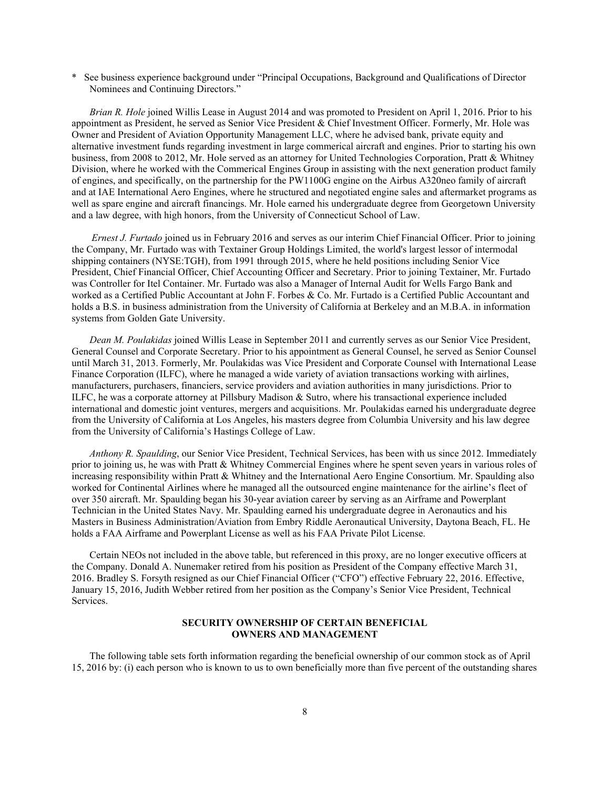\* See business experience background under "Principal Occupations, Background and Qualifications of Director Nominees and Continuing Directors."

*Brian R. Hole* joined Willis Lease in August 2014 and was promoted to President on April 1, 2016. Prior to his appointment as President, he served as Senior Vice President & Chief Investment Officer. Formerly, Mr. Hole was Owner and President of Aviation Opportunity Management LLC, where he advised bank, private equity and alternative investment funds regarding investment in large commerical aircraft and engines. Prior to starting his own business, from 2008 to 2012, Mr. Hole served as an attorney for United Technologies Corporation, Pratt & Whitney Division, where he worked with the Commerical Engines Group in assisting with the next generation product family of engines, and specifically, on the partnership for the PW1100G engine on the Airbus A320neo family of aircraft and at IAE International Aero Engines, where he structured and negotiated engine sales and aftermarket programs as well as spare engine and aircraft financings. Mr. Hole earned his undergraduate degree from Georgetown University and a law degree, with high honors, from the University of Connecticut School of Law.

 *Ernest J. Furtado* joined us in February 2016 and serves as our interim Chief Financial Officer. Prior to joining the Company, Mr. Furtado was with Textainer Group Holdings Limited, the world's largest lessor of intermodal shipping containers (NYSE:TGH), from 1991 through 2015, where he held positions including Senior Vice President, Chief Financial Officer, Chief Accounting Officer and Secretary. Prior to joining Textainer, Mr. Furtado was Controller for Itel Container. Mr. Furtado was also a Manager of Internal Audit for Wells Fargo Bank and worked as a Certified Public Accountant at John F. Forbes & Co. Mr. Furtado is a Certified Public Accountant and holds a B.S. in business administration from the University of California at Berkeley and an M.B.A. in information systems from Golden Gate University.

*Dean M. Poulakidas* joined Willis Lease in September 2011 and currently serves as our Senior Vice President, General Counsel and Corporate Secretary. Prior to his appointment as General Counsel, he served as Senior Counsel until March 31, 2013. Formerly, Mr. Poulakidas was Vice President and Corporate Counsel with International Lease Finance Corporation (ILFC), where he managed a wide variety of aviation transactions working with airlines, manufacturers, purchasers, financiers, service providers and aviation authorities in many jurisdictions. Prior to ILFC, he was a corporate attorney at Pillsbury Madison & Sutro, where his transactional experience included international and domestic joint ventures, mergers and acquisitions. Mr. Poulakidas earned his undergraduate degree from the University of California at Los Angeles, his masters degree from Columbia University and his law degree from the University of California's Hastings College of Law.

*Anthony R. Spaulding*, our Senior Vice President, Technical Services, has been with us since 2012. Immediately prior to joining us, he was with Pratt & Whitney Commercial Engines where he spent seven years in various roles of increasing responsibility within Pratt & Whitney and the International Aero Engine Consortium. Mr. Spaulding also worked for Continental Airlines where he managed all the outsourced engine maintenance for the airline's fleet of over 350 aircraft. Mr. Spaulding began his 30-year aviation career by serving as an Airframe and Powerplant Technician in the United States Navy. Mr. Spaulding earned his undergraduate degree in Aeronautics and his Masters in Business Administration/Aviation from Embry Riddle Aeronautical University, Daytona Beach, FL. He holds a FAA Airframe and Powerplant License as well as his FAA Private Pilot License.

Certain NEOs not included in the above table, but referenced in this proxy, are no longer executive officers at the Company. Donald A. Nunemaker retired from his position as President of the Company effective March 31, 2016. Bradley S. Forsyth resigned as our Chief Financial Officer ("CFO") effective February 22, 2016. Effective, January 15, 2016, Judith Webber retired from her position as the Company's Senior Vice President, Technical Services.

#### **SECURITY OWNERSHIP OF CERTAIN BENEFICIAL OWNERS AND MANAGEMENT**

The following table sets forth information regarding the beneficial ownership of our common stock as of April 15, 2016 by: (i) each person who is known to us to own beneficially more than five percent of the outstanding shares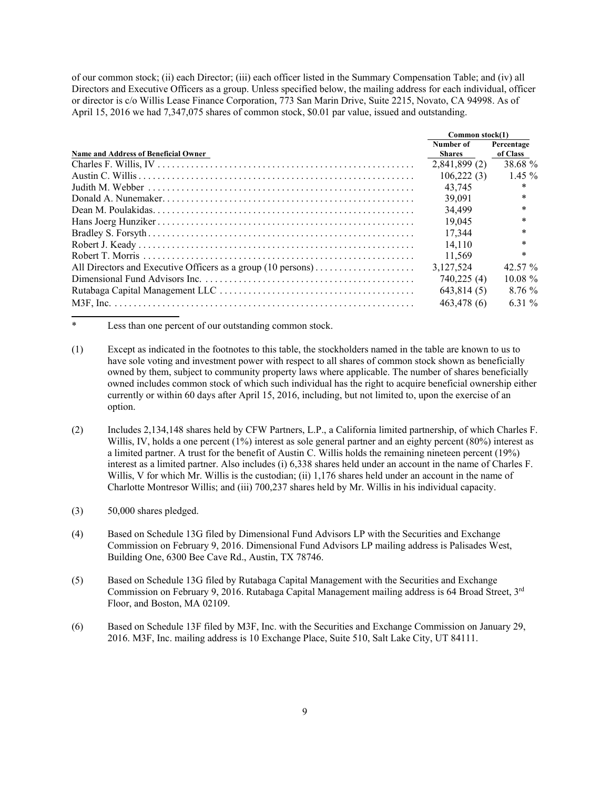of our common stock; (ii) each Director; (iii) each officer listed in the Summary Compensation Table; and (iv) all Directors and Executive Officers as a group. Unless specified below, the mailing address for each individual, officer or director is c/o Willis Lease Finance Corporation, 773 San Marin Drive, Suite 2215, Novato, CA 94998. As of April 15, 2016 we had 7,347,075 shares of common stock, \$0.01 par value, issued and outstanding.

|                                                              | Common stock(1)            |                        |
|--------------------------------------------------------------|----------------------------|------------------------|
| Name and Address of Beneficial Owner                         | Number of<br><b>Shares</b> | Percentage<br>of Class |
|                                                              | 2.841.899(2)               | 38.68 %                |
|                                                              | 106.222(3)                 | 145%                   |
|                                                              | 43.745                     | $\ast$                 |
|                                                              | 39.091                     | $\ast$                 |
|                                                              | 34,499                     | $\ast$                 |
|                                                              | 19.045                     | $\ast$                 |
|                                                              | 17.344                     | $\ast$                 |
|                                                              | 14.110                     | *                      |
|                                                              | 11.569                     | $\ast$                 |
| All Directors and Executive Officers as a group (10 persons) | 3,127,524                  | 42.57 $\%$             |
|                                                              | 740,225 (4)                | $10.08 \%$             |
|                                                              | 643,814 (5)                | 8.76%                  |
|                                                              | 463,478 (6)                | 631%                   |

\* Less than one percent of our outstanding common stock.

- (1) Except as indicated in the footnotes to this table, the stockholders named in the table are known to us to have sole voting and investment power with respect to all shares of common stock shown as beneficially owned by them, subject to community property laws where applicable. The number of shares beneficially owned includes common stock of which such individual has the right to acquire beneficial ownership either currently or within 60 days after April 15, 2016, including, but not limited to, upon the exercise of an option.
- (2) Includes 2,134,148 shares held by CFW Partners, L.P., a California limited partnership, of which Charles F. Willis, IV, holds a one percent (1%) interest as sole general partner and an eighty percent (80%) interest as a limited partner. A trust for the benefit of Austin C. Willis holds the remaining nineteen percent (19%) interest as a limited partner. Also includes (i) 6,338 shares held under an account in the name of Charles F. Willis, V for which Mr. Willis is the custodian; (ii) 1,176 shares held under an account in the name of Charlotte Montresor Willis; and (iii) 700,237 shares held by Mr. Willis in his individual capacity.
- (3) 50,000 shares pledged.
- (4) Based on Schedule 13G filed by Dimensional Fund Advisors LP with the Securities and Exchange Commission on February 9, 2016. Dimensional Fund Advisors LP mailing address is Palisades West, Building One, 6300 Bee Cave Rd., Austin, TX 78746.
- (5) Based on Schedule 13G filed by Rutabaga Capital Management with the Securities and Exchange Commission on February 9, 2016. Rutabaga Capital Management mailing address is 64 Broad Street, 3rd Floor, and Boston, MA 02109.
- (6) Based on Schedule 13F filed by M3F, Inc. with the Securities and Exchange Commission on January 29, 2016. M3F, Inc. mailing address is 10 Exchange Place, Suite 510, Salt Lake City, UT 84111.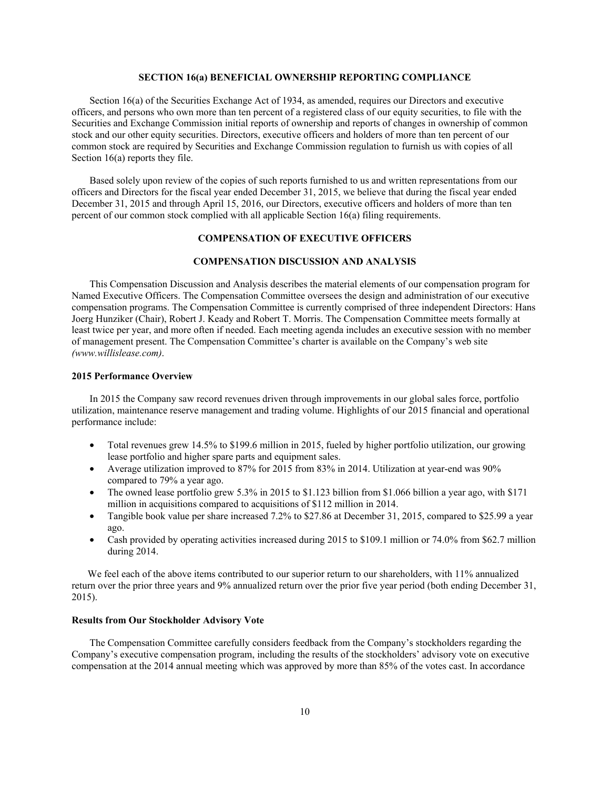### **SECTION 16(a) BENEFICIAL OWNERSHIP REPORTING COMPLIANCE**

Section 16(a) of the Securities Exchange Act of 1934, as amended, requires our Directors and executive officers, and persons who own more than ten percent of a registered class of our equity securities, to file with the Securities and Exchange Commission initial reports of ownership and reports of changes in ownership of common stock and our other equity securities. Directors, executive officers and holders of more than ten percent of our common stock are required by Securities and Exchange Commission regulation to furnish us with copies of all Section 16(a) reports they file.

Based solely upon review of the copies of such reports furnished to us and written representations from our officers and Directors for the fiscal year ended December 31, 2015, we believe that during the fiscal year ended December 31, 2015 and through April 15, 2016, our Directors, executive officers and holders of more than ten percent of our common stock complied with all applicable Section 16(a) filing requirements.

### **COMPENSATION OF EXECUTIVE OFFICERS**

### **COMPENSATION DISCUSSION AND ANALYSIS**

This Compensation Discussion and Analysis describes the material elements of our compensation program for Named Executive Officers. The Compensation Committee oversees the design and administration of our executive compensation programs. The Compensation Committee is currently comprised of three independent Directors: Hans Joerg Hunziker (Chair), Robert J. Keady and Robert T. Morris. The Compensation Committee meets formally at least twice per year, and more often if needed. Each meeting agenda includes an executive session with no member of management present. The Compensation Committee's charter is available on the Company's web site *(www.willislease.com)*.

#### **2015 Performance Overview**

In 2015 the Company saw record revenues driven through improvements in our global sales force, portfolio utilization, maintenance reserve management and trading volume. Highlights of our 2015 financial and operational performance include:

- Total revenues grew 14.5% to \$199.6 million in 2015, fueled by higher portfolio utilization, our growing lease portfolio and higher spare parts and equipment sales.
- Average utilization improved to 87% for 2015 from 83% in 2014. Utilization at year-end was 90% compared to 79% a year ago.
- The owned lease portfolio grew 5.3% in 2015 to \$1.123 billion from \$1.066 billion a year ago, with \$171 million in acquisitions compared to acquisitions of \$112 million in 2014.
- Tangible book value per share increased 7.2% to \$27.86 at December 31, 2015, compared to \$25.99 a year ago.
- Cash provided by operating activities increased during 2015 to \$109.1 million or 74.0% from \$62.7 million during 2014.

We feel each of the above items contributed to our superior return to our shareholders, with 11% annualized return over the prior three years and 9% annualized return over the prior five year period (both ending December 31, 2015).

#### **Results from Our Stockholder Advisory Vote**

The Compensation Committee carefully considers feedback from the Company's stockholders regarding the Company's executive compensation program, including the results of the stockholders' advisory vote on executive compensation at the 2014 annual meeting which was approved by more than 85% of the votes cast. In accordance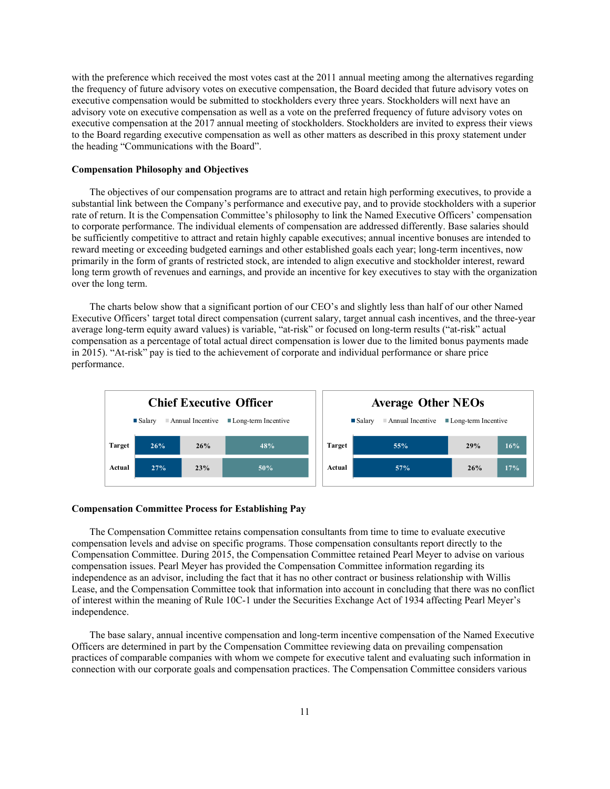with the preference which received the most votes cast at the 2011 annual meeting among the alternatives regarding the frequency of future advisory votes on executive compensation, the Board decided that future advisory votes on executive compensation would be submitted to stockholders every three years. Stockholders will next have an advisory vote on executive compensation as well as a vote on the preferred frequency of future advisory votes on executive compensation at the 2017 annual meeting of stockholders. Stockholders are invited to express their views to the Board regarding executive compensation as well as other matters as described in this proxy statement under the heading "Communications with the Board".

### **Compensation Philosophy and Objectives**

The objectives of our compensation programs are to attract and retain high performing executives, to provide a substantial link between the Company's performance and executive pay, and to provide stockholders with a superior rate of return. It is the Compensation Committee's philosophy to link the Named Executive Officers' compensation to corporate performance. The individual elements of compensation are addressed differently. Base salaries should be sufficiently competitive to attract and retain highly capable executives; annual incentive bonuses are intended to reward meeting or exceeding budgeted earnings and other established goals each year; long-term incentives, now primarily in the form of grants of restricted stock, are intended to align executive and stockholder interest, reward long term growth of revenues and earnings, and provide an incentive for key executives to stay with the organization over the long term.

The charts below show that a significant portion of our CEO's and slightly less than half of our other Named Executive Officers' target total direct compensation (current salary, target annual cash incentives, and the three-year average long-term equity award values) is variable, "at-risk" or focused on long-term results ("at-risk" actual compensation as a percentage of total actual direct compensation is lower due to the limited bonus payments made in 2015). "At-risk" pay is tied to the achievement of corporate and individual performance or share price performance.



#### **Compensation Committee Process for Establishing Pay**

The Compensation Committee retains compensation consultants from time to time to evaluate executive compensation levels and advise on specific programs. Those compensation consultants report directly to the Compensation Committee. During 2015, the Compensation Committee retained Pearl Meyer to advise on various compensation issues. Pearl Meyer has provided the Compensation Committee information regarding its independence as an advisor, including the fact that it has no other contract or business relationship with Willis Lease, and the Compensation Committee took that information into account in concluding that there was no conflict of interest within the meaning of Rule 10C-1 under the Securities Exchange Act of 1934 affecting Pearl Meyer's independence.

The base salary, annual incentive compensation and long-term incentive compensation of the Named Executive Officers are determined in part by the Compensation Committee reviewing data on prevailing compensation practices of comparable companies with whom we compete for executive talent and evaluating such information in connection with our corporate goals and compensation practices. The Compensation Committee considers various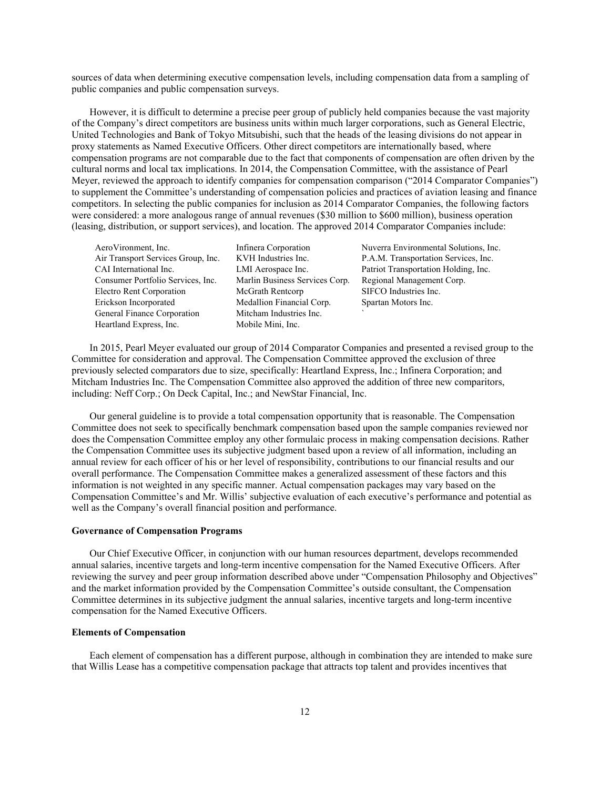sources of data when determining executive compensation levels, including compensation data from a sampling of public companies and public compensation surveys.

However, it is difficult to determine a precise peer group of publicly held companies because the vast majority of the Company's direct competitors are business units within much larger corporations, such as General Electric, United Technologies and Bank of Tokyo Mitsubishi, such that the heads of the leasing divisions do not appear in proxy statements as Named Executive Officers. Other direct competitors are internationally based, where compensation programs are not comparable due to the fact that components of compensation are often driven by the cultural norms and local tax implications. In 2014, the Compensation Committee, with the assistance of Pearl Meyer, reviewed the approach to identify companies for compensation comparison ("2014 Comparator Companies") to supplement the Committee's understanding of compensation policies and practices of aviation leasing and finance competitors. In selecting the public companies for inclusion as 2014 Comparator Companies, the following factors were considered: a more analogous range of annual revenues (\$30 million to \$600 million), business operation (leasing, distribution, or support services), and location. The approved 2014 Comparator Companies include:

AeroVironment, Inc. Infinera Corporation Nuverra Environmental Solutions, Inc. Air Transport Services Group, Inc. KVH Industries Inc. P.A.M. Transportation Services, Inc. CAI International Inc. LMI Aerospace Inc. Patriot Transportation Holding, Inc. Consumer Portfolio Services, Inc. Marlin Business Services Corp. Regional Management Corp. Electro Rent Corporation McGrath Rentcorp SIFCO Industries Inc. Erickson Incorporated Medallion Financial Corp. Spartan Motors Inc. General Finance Corporation Mitcham Industries Inc. Heartland Express, Inc. Mobile Mini, Inc.

In 2015, Pearl Meyer evaluated our group of 2014 Comparator Companies and presented a revised group to the Committee for consideration and approval. The Compensation Committee approved the exclusion of three previously selected comparators due to size, specifically: Heartland Express, Inc.; Infinera Corporation; and Mitcham Industries Inc. The Compensation Committee also approved the addition of three new comparitors, including: Neff Corp.; On Deck Capital, Inc.; and NewStar Financial, Inc.

Our general guideline is to provide a total compensation opportunity that is reasonable. The Compensation Committee does not seek to specifically benchmark compensation based upon the sample companies reviewed nor does the Compensation Committee employ any other formulaic process in making compensation decisions. Rather the Compensation Committee uses its subjective judgment based upon a review of all information, including an annual review for each officer of his or her level of responsibility, contributions to our financial results and our overall performance. The Compensation Committee makes a generalized assessment of these factors and this information is not weighted in any specific manner. Actual compensation packages may vary based on the Compensation Committee's and Mr. Willis' subjective evaluation of each executive's performance and potential as well as the Company's overall financial position and performance.

#### **Governance of Compensation Programs**

Our Chief Executive Officer, in conjunction with our human resources department, develops recommended annual salaries, incentive targets and long-term incentive compensation for the Named Executive Officers. After reviewing the survey and peer group information described above under "Compensation Philosophy and Objectives" and the market information provided by the Compensation Committee's outside consultant, the Compensation Committee determines in its subjective judgment the annual salaries, incentive targets and long-term incentive compensation for the Named Executive Officers.

#### **Elements of Compensation**

Each element of compensation has a different purpose, although in combination they are intended to make sure that Willis Lease has a competitive compensation package that attracts top talent and provides incentives that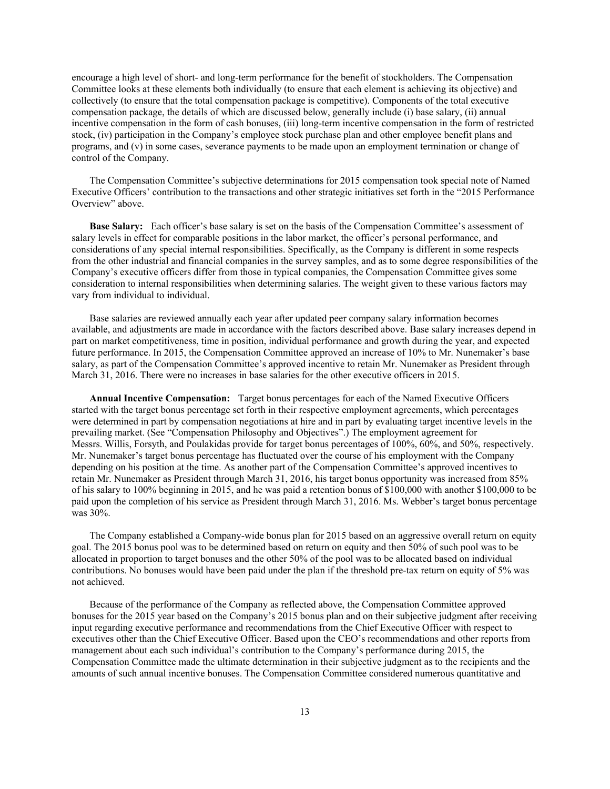encourage a high level of short- and long-term performance for the benefit of stockholders. The Compensation Committee looks at these elements both individually (to ensure that each element is achieving its objective) and collectively (to ensure that the total compensation package is competitive). Components of the total executive compensation package, the details of which are discussed below, generally include (i) base salary, (ii) annual incentive compensation in the form of cash bonuses, (iii) long-term incentive compensation in the form of restricted stock, (iv) participation in the Company's employee stock purchase plan and other employee benefit plans and programs, and (v) in some cases, severance payments to be made upon an employment termination or change of control of the Company.

The Compensation Committee's subjective determinations for 2015 compensation took special note of Named Executive Officers' contribution to the transactions and other strategic initiatives set forth in the "2015 Performance Overview" above.

**Base Salary:** Each officer's base salary is set on the basis of the Compensation Committee's assessment of salary levels in effect for comparable positions in the labor market, the officer's personal performance, and considerations of any special internal responsibilities. Specifically, as the Company is different in some respects from the other industrial and financial companies in the survey samples, and as to some degree responsibilities of the Company's executive officers differ from those in typical companies, the Compensation Committee gives some consideration to internal responsibilities when determining salaries. The weight given to these various factors may vary from individual to individual.

Base salaries are reviewed annually each year after updated peer company salary information becomes available, and adjustments are made in accordance with the factors described above. Base salary increases depend in part on market competitiveness, time in position, individual performance and growth during the year, and expected future performance. In 2015, the Compensation Committee approved an increase of 10% to Mr. Nunemaker's base salary, as part of the Compensation Committee's approved incentive to retain Mr. Nunemaker as President through March 31, 2016. There were no increases in base salaries for the other executive officers in 2015.

**Annual Incentive Compensation:** Target bonus percentages for each of the Named Executive Officers started with the target bonus percentage set forth in their respective employment agreements, which percentages were determined in part by compensation negotiations at hire and in part by evaluating target incentive levels in the prevailing market. (See "Compensation Philosophy and Objectives".) The employment agreement for Messrs. Willis, Forsyth, and Poulakidas provide for target bonus percentages of 100%, 60%, and 50%, respectively. Mr. Nunemaker's target bonus percentage has fluctuated over the course of his employment with the Company depending on his position at the time. As another part of the Compensation Committee's approved incentives to retain Mr. Nunemaker as President through March 31, 2016, his target bonus opportunity was increased from 85% of his salary to 100% beginning in 2015, and he was paid a retention bonus of \$100,000 with another \$100,000 to be paid upon the completion of his service as President through March 31, 2016. Ms. Webber's target bonus percentage was 30%.

The Company established a Company-wide bonus plan for 2015 based on an aggressive overall return on equity goal. The 2015 bonus pool was to be determined based on return on equity and then 50% of such pool was to be allocated in proportion to target bonuses and the other 50% of the pool was to be allocated based on individual contributions. No bonuses would have been paid under the plan if the threshold pre-tax return on equity of 5% was not achieved.

Because of the performance of the Company as reflected above, the Compensation Committee approved bonuses for the 2015 year based on the Company's 2015 bonus plan and on their subjective judgment after receiving input regarding executive performance and recommendations from the Chief Executive Officer with respect to executives other than the Chief Executive Officer. Based upon the CEO's recommendations and other reports from management about each such individual's contribution to the Company's performance during 2015, the Compensation Committee made the ultimate determination in their subjective judgment as to the recipients and the amounts of such annual incentive bonuses. The Compensation Committee considered numerous quantitative and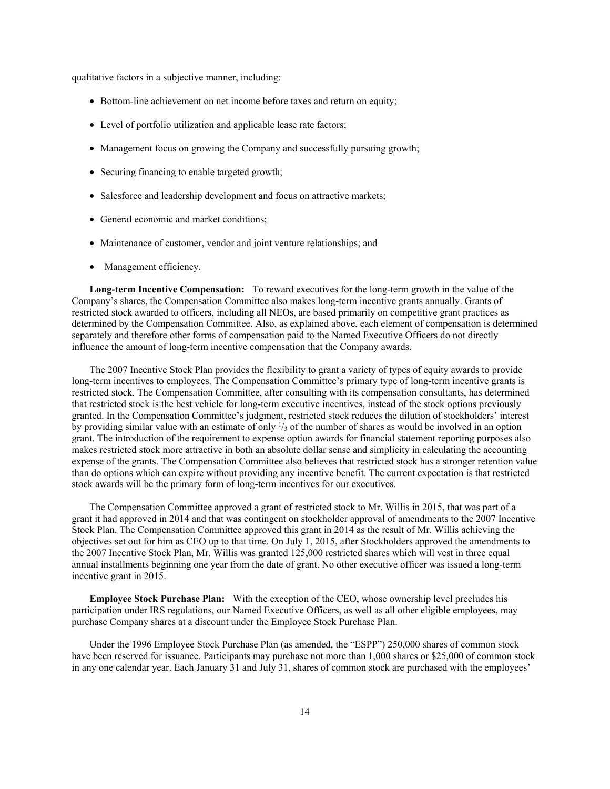qualitative factors in a subjective manner, including:

- Bottom-line achievement on net income before taxes and return on equity;
- Level of portfolio utilization and applicable lease rate factors;
- Management focus on growing the Company and successfully pursuing growth;
- Securing financing to enable targeted growth;
- Salesforce and leadership development and focus on attractive markets;
- General economic and market conditions;
- Maintenance of customer, vendor and joint venture relationships; and
- Management efficiency.

**Long-term Incentive Compensation:** To reward executives for the long-term growth in the value of the Company's shares, the Compensation Committee also makes long-term incentive grants annually. Grants of restricted stock awarded to officers, including all NEOs, are based primarily on competitive grant practices as determined by the Compensation Committee. Also, as explained above, each element of compensation is determined separately and therefore other forms of compensation paid to the Named Executive Officers do not directly influence the amount of long-term incentive compensation that the Company awards.

The 2007 Incentive Stock Plan provides the flexibility to grant a variety of types of equity awards to provide long-term incentives to employees. The Compensation Committee's primary type of long-term incentive grants is restricted stock. The Compensation Committee, after consulting with its compensation consultants, has determined that restricted stock is the best vehicle for long-term executive incentives, instead of the stock options previously granted. In the Compensation Committee's judgment, restricted stock reduces the dilution of stockholders' interest by providing similar value with an estimate of only  $\frac{1}{3}$  of the number of shares as would be involved in an option grant. The introduction of the requirement to expense option awards for financial statement reporting purposes also makes restricted stock more attractive in both an absolute dollar sense and simplicity in calculating the accounting expense of the grants. The Compensation Committee also believes that restricted stock has a stronger retention value than do options which can expire without providing any incentive benefit. The current expectation is that restricted stock awards will be the primary form of long-term incentives for our executives.

The Compensation Committee approved a grant of restricted stock to Mr. Willis in 2015, that was part of a grant it had approved in 2014 and that was contingent on stockholder approval of amendments to the 2007 Incentive Stock Plan. The Compensation Committee approved this grant in 2014 as the result of Mr. Willis achieving the objectives set out for him as CEO up to that time. On July 1, 2015, after Stockholders approved the amendments to the 2007 Incentive Stock Plan, Mr. Willis was granted 125,000 restricted shares which will vest in three equal annual installments beginning one year from the date of grant. No other executive officer was issued a long-term incentive grant in 2015.

**Employee Stock Purchase Plan:** With the exception of the CEO, whose ownership level precludes his participation under IRS regulations, our Named Executive Officers, as well as all other eligible employees, may purchase Company shares at a discount under the Employee Stock Purchase Plan.

Under the 1996 Employee Stock Purchase Plan (as amended, the "ESPP") 250,000 shares of common stock have been reserved for issuance. Participants may purchase not more than 1,000 shares or \$25,000 of common stock in any one calendar year. Each January 31 and July 31, shares of common stock are purchased with the employees'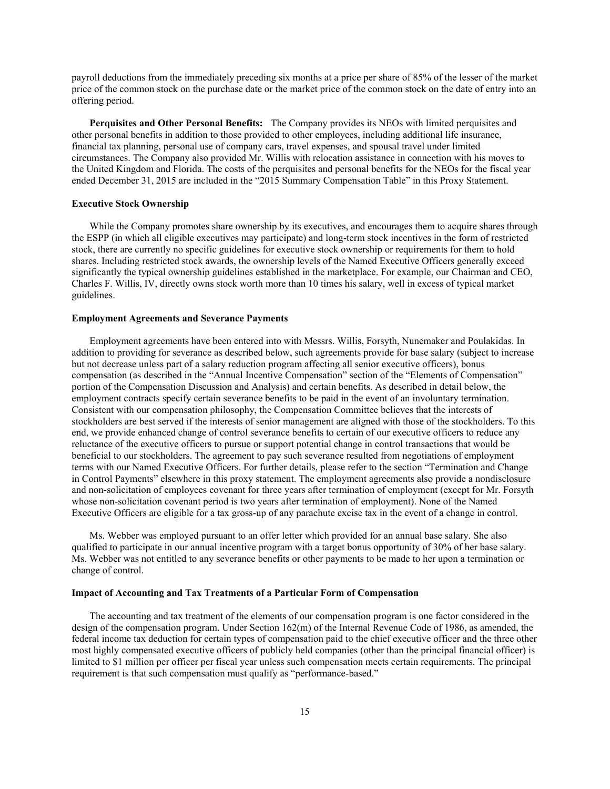payroll deductions from the immediately preceding six months at a price per share of 85% of the lesser of the market price of the common stock on the purchase date or the market price of the common stock on the date of entry into an offering period.

**Perquisites and Other Personal Benefits:** The Company provides its NEOs with limited perquisites and other personal benefits in addition to those provided to other employees, including additional life insurance, financial tax planning, personal use of company cars, travel expenses, and spousal travel under limited circumstances. The Company also provided Mr. Willis with relocation assistance in connection with his moves to the United Kingdom and Florida. The costs of the perquisites and personal benefits for the NEOs for the fiscal year ended December 31, 2015 are included in the "2015 Summary Compensation Table" in this Proxy Statement.

#### **Executive Stock Ownership**

While the Company promotes share ownership by its executives, and encourages them to acquire shares through the ESPP (in which all eligible executives may participate) and long-term stock incentives in the form of restricted stock, there are currently no specific guidelines for executive stock ownership or requirements for them to hold shares. Including restricted stock awards, the ownership levels of the Named Executive Officers generally exceed significantly the typical ownership guidelines established in the marketplace. For example, our Chairman and CEO, Charles F. Willis, IV, directly owns stock worth more than 10 times his salary, well in excess of typical market guidelines.

#### **Employment Agreements and Severance Payments**

Employment agreements have been entered into with Messrs. Willis, Forsyth, Nunemaker and Poulakidas. In addition to providing for severance as described below, such agreements provide for base salary (subject to increase but not decrease unless part of a salary reduction program affecting all senior executive officers), bonus compensation (as described in the "Annual Incentive Compensation" section of the "Elements of Compensation" portion of the Compensation Discussion and Analysis) and certain benefits. As described in detail below, the employment contracts specify certain severance benefits to be paid in the event of an involuntary termination. Consistent with our compensation philosophy, the Compensation Committee believes that the interests of stockholders are best served if the interests of senior management are aligned with those of the stockholders. To this end, we provide enhanced change of control severance benefits to certain of our executive officers to reduce any reluctance of the executive officers to pursue or support potential change in control transactions that would be beneficial to our stockholders. The agreement to pay such severance resulted from negotiations of employment terms with our Named Executive Officers. For further details, please refer to the section "Termination and Change in Control Payments" elsewhere in this proxy statement. The employment agreements also provide a nondisclosure and non-solicitation of employees covenant for three years after termination of employment (except for Mr. Forsyth whose non-solicitation covenant period is two years after termination of employment). None of the Named Executive Officers are eligible for a tax gross-up of any parachute excise tax in the event of a change in control.

Ms. Webber was employed pursuant to an offer letter which provided for an annual base salary. She also qualified to participate in our annual incentive program with a target bonus opportunity of 30% of her base salary. Ms. Webber was not entitled to any severance benefits or other payments to be made to her upon a termination or change of control.

#### **Impact of Accounting and Tax Treatments of a Particular Form of Compensation**

The accounting and tax treatment of the elements of our compensation program is one factor considered in the design of the compensation program. Under Section 162(m) of the Internal Revenue Code of 1986, as amended, the federal income tax deduction for certain types of compensation paid to the chief executive officer and the three other most highly compensated executive officers of publicly held companies (other than the principal financial officer) is limited to \$1 million per officer per fiscal year unless such compensation meets certain requirements. The principal requirement is that such compensation must qualify as "performance-based."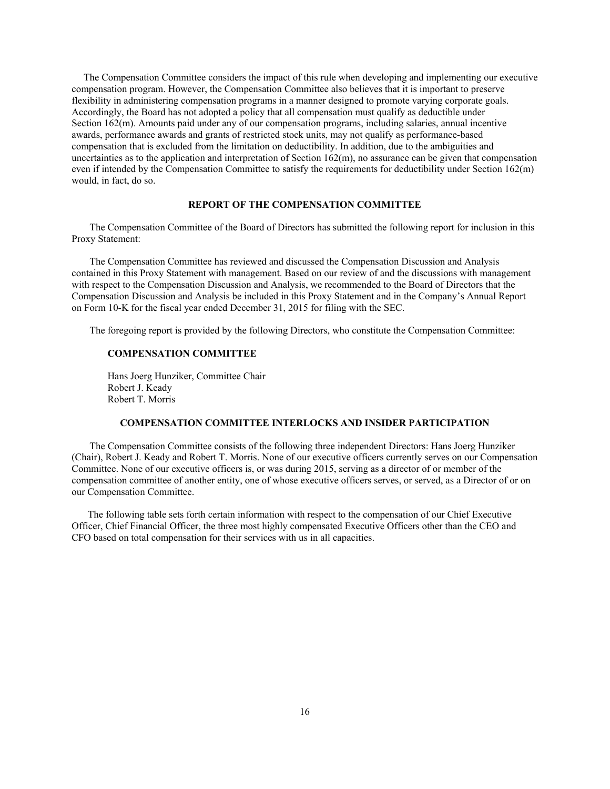The Compensation Committee considers the impact of this rule when developing and implementing our executive compensation program. However, the Compensation Committee also believes that it is important to preserve flexibility in administering compensation programs in a manner designed to promote varying corporate goals. Accordingly, the Board has not adopted a policy that all compensation must qualify as deductible under Section 162(m). Amounts paid under any of our compensation programs, including salaries, annual incentive awards, performance awards and grants of restricted stock units, may not qualify as performance-based compensation that is excluded from the limitation on deductibility. In addition, due to the ambiguities and uncertainties as to the application and interpretation of Section 162(m), no assurance can be given that compensation even if intended by the Compensation Committee to satisfy the requirements for deductibility under Section 162(m) would, in fact, do so.

#### **REPORT OF THE COMPENSATION COMMITTEE**

The Compensation Committee of the Board of Directors has submitted the following report for inclusion in this Proxy Statement:

The Compensation Committee has reviewed and discussed the Compensation Discussion and Analysis contained in this Proxy Statement with management. Based on our review of and the discussions with management with respect to the Compensation Discussion and Analysis, we recommended to the Board of Directors that the Compensation Discussion and Analysis be included in this Proxy Statement and in the Company's Annual Report on Form 10-K for the fiscal year ended December 31, 2015 for filing with the SEC.

The foregoing report is provided by the following Directors, who constitute the Compensation Committee:

#### **COMPENSATION COMMITTEE**

Hans Joerg Hunziker, Committee Chair Robert J. Keady Robert T. Morris

#### **COMPENSATION COMMITTEE INTERLOCKS AND INSIDER PARTICIPATION**

The Compensation Committee consists of the following three independent Directors: Hans Joerg Hunziker (Chair), Robert J. Keady and Robert T. Morris. None of our executive officers currently serves on our Compensation Committee. None of our executive officers is, or was during 2015, serving as a director of or member of the compensation committee of another entity, one of whose executive officers serves, or served, as a Director of or on our Compensation Committee.

 The following table sets forth certain information with respect to the compensation of our Chief Executive Officer, Chief Financial Officer, the three most highly compensated Executive Officers other than the CEO and CFO based on total compensation for their services with us in all capacities.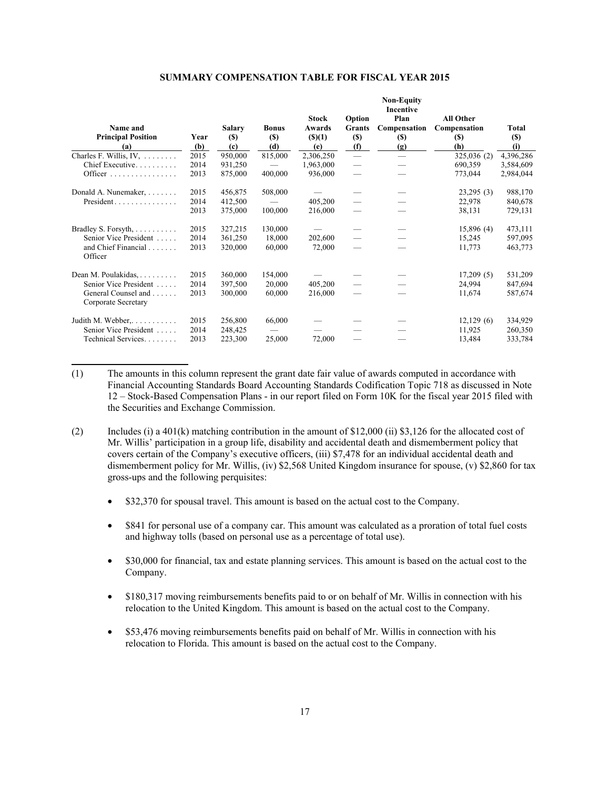| Name and<br><b>Principal Position</b>      | Year | <b>Salary</b><br><b>(\$)</b> | <b>Bonus</b><br>$(\$)$ | <b>Stock</b><br>Awards<br>$($ (\$)(1) | Option<br><b>Grants</b><br>$(\$)$ | <b>Non-Equity</b><br>Incentive<br>Plan<br>Compensation<br><b>(\$)</b> | All Other<br>Compensation<br><b>(S)</b> | Total<br>$(S)$ |
|--------------------------------------------|------|------------------------------|------------------------|---------------------------------------|-----------------------------------|-----------------------------------------------------------------------|-----------------------------------------|----------------|
| (a)                                        | (b)  | (c)                          | (d)                    | (e)                                   | (f)                               | (g)                                                                   | (h)                                     | (i)            |
| Charles F. Willis, IV, $\dots$             | 2015 | 950,000                      | 815,000                | 2,306,250                             | $\frac{1}{1}$                     | $\overline{\phantom{0}}$                                              | 325,036 (2)                             | 4,396,286      |
| Chief Executive                            | 2014 | 931,250                      |                        | 1,963,000                             | $\overline{\phantom{m}}$          |                                                                       | 690,359                                 | 3,584,609      |
|                                            | 2013 | 875,000                      | 400,000                | 936,000                               |                                   |                                                                       | 773,044                                 | 2,984,044      |
| Donald A. Nunemaker,                       | 2015 | 456,875                      | 508,000                |                                       |                                   |                                                                       | 23,295(3)                               | 988,170        |
| $President \dots \dots \dots \dots \dots$  | 2014 | 412,500                      |                        | 405,200                               |                                   |                                                                       | 22,978                                  | 840,678        |
|                                            | 2013 | 375,000                      | 100,000                | 216,000                               |                                   |                                                                       | 38,131                                  | 729,131        |
| Bradley S. Forsyth,                        | 2015 | 327,215                      | 130,000                |                                       |                                   |                                                                       | 15,896(4)                               | 473,111        |
| Senior Vice President                      | 2014 | 361,250                      | 18,000                 | 202,600                               |                                   |                                                                       | 15,245                                  | 597,095        |
| and Chief Financial<br>Officer             | 2013 | 320,000                      | 60,000                 | 72,000                                |                                   |                                                                       | 11,773                                  | 463,773        |
| Dean M. Poulakidas, $\dots \dots$          | 2015 | 360,000                      | 154,000                |                                       |                                   |                                                                       | 17,209(5)                               | 531,209        |
| Senior Vice President                      | 2014 | 397,500                      | 20,000                 | 405,200                               |                                   |                                                                       | 24,994                                  | 847,694        |
| General Counsel and<br>Corporate Secretary | 2013 | 300,000                      | 60,000                 | 216,000                               |                                   |                                                                       | 11,674                                  | 587,674        |
| Judith M. Webber, $\dots \dots$            | 2015 | 256,800                      | 66,000                 |                                       |                                   |                                                                       | 12,129(6)                               | 334,929        |
| Senior Vice President                      | 2014 | 248,425                      |                        |                                       |                                   |                                                                       | 11,925                                  | 260,350        |
| Technical Services.                        | 2013 | 223,300                      | 25,000                 | 72,000                                |                                   |                                                                       | 13,484                                  | 333,784        |

#### **SUMMARY COMPENSATION TABLE FOR FISCAL YEAR 2015**

(1) The amounts in this column represent the grant date fair value of awards computed in accordance with Financial Accounting Standards Board Accounting Standards Codification Topic 718 as discussed in Note 12 – Stock-Based Compensation Plans - in our report filed on Form 10K for the fiscal year 2015 filed with the Securities and Exchange Commission.

- (2) Includes (i) a 401(k) matching contribution in the amount of \$12,000 (ii) \$3,126 for the allocated cost of Mr. Willis' participation in a group life, disability and accidental death and dismemberment policy that covers certain of the Company's executive officers, (iii) \$7,478 for an individual accidental death and dismemberment policy for Mr. Willis, (iv) \$2,568 United Kingdom insurance for spouse, (v) \$2,860 for tax gross-ups and the following perquisites:
	- \$32,370 for spousal travel. This amount is based on the actual cost to the Company.
	- \$841 for personal use of a company car. This amount was calculated as a proration of total fuel costs and highway tolls (based on personal use as a percentage of total use).
	- \$30,000 for financial, tax and estate planning services. This amount is based on the actual cost to the Company.
	- \$180,317 moving reimbursements benefits paid to or on behalf of Mr. Willis in connection with his relocation to the United Kingdom. This amount is based on the actual cost to the Company.
	- \$53,476 moving reimbursements benefits paid on behalf of Mr. Willis in connection with his relocation to Florida. This amount is based on the actual cost to the Company.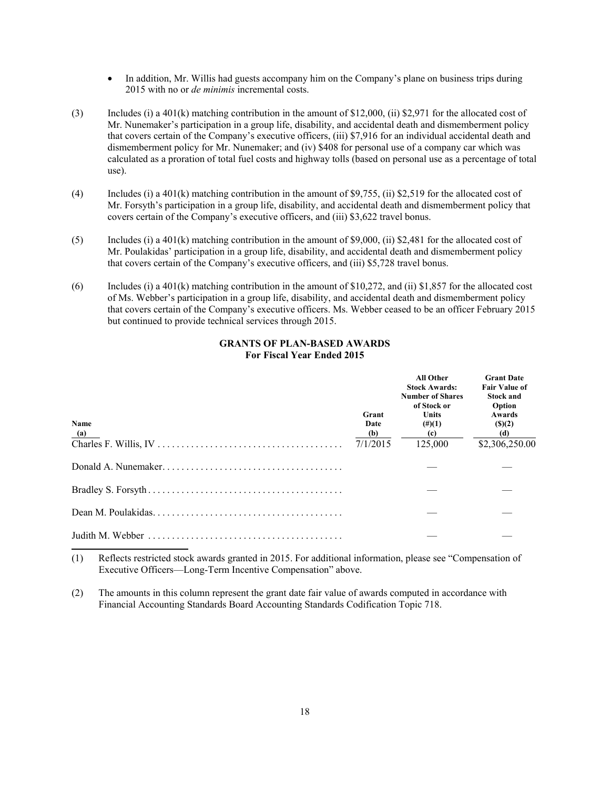- In addition, Mr. Willis had guests accompany him on the Company's plane on business trips during 2015 with no or *de minimis* incremental costs.
- (3) Includes (i) a 401(k) matching contribution in the amount of \$12,000, (ii) \$2,971 for the allocated cost of Mr. Nunemaker's participation in a group life, disability, and accidental death and dismemberment policy that covers certain of the Company's executive officers, (iii) \$7,916 for an individual accidental death and dismemberment policy for Mr. Nunemaker; and (iv) \$408 for personal use of a company car which was calculated as a proration of total fuel costs and highway tolls (based on personal use as a percentage of total use).
- (4) Includes (i) a 401(k) matching contribution in the amount of \$9,755, (ii) \$2,519 for the allocated cost of Mr. Forsyth's participation in a group life, disability, and accidental death and dismemberment policy that covers certain of the Company's executive officers, and (iii) \$3,622 travel bonus.
- (5) Includes (i) a 401(k) matching contribution in the amount of \$9,000, (ii) \$2,481 for the allocated cost of Mr. Poulakidas' participation in a group life, disability, and accidental death and dismemberment policy that covers certain of the Company's executive officers, and (iii) \$5,728 travel bonus.
- (6) Includes (i) a 401(k) matching contribution in the amount of \$10,272, and (ii) \$1,857 for the allocated cost of Ms. Webber's participation in a group life, disability, and accidental death and dismemberment policy that covers certain of the Company's executive officers. Ms. Webber ceased to be an officer February 2015 but continued to provide technical services through 2015.

### **GRANTS OF PLAN-BASED AWARDS For Fiscal Year Ended 2015**

| Name | Grant<br>Date | All Other<br><b>Stock Awards:</b><br><b>Number of Shares</b><br>of Stock or<br><b>Units</b><br>$(\#)(1)$ | <b>Grant Date</b><br><b>Fair Value of</b><br><b>Stock and</b><br>Option<br>Awards<br>(S)(2) |
|------|---------------|----------------------------------------------------------------------------------------------------------|---------------------------------------------------------------------------------------------|
| (a)  | (b)           | (c)                                                                                                      | (d)                                                                                         |
|      | 7/1/2015      | 125,000                                                                                                  | \$2,306,250.00                                                                              |
|      |               |                                                                                                          |                                                                                             |
|      |               |                                                                                                          |                                                                                             |
|      |               |                                                                                                          |                                                                                             |
|      |               |                                                                                                          |                                                                                             |

- (1) Reflects restricted stock awards granted in 2015. For additional information, please see "Compensation of Executive Officers—Long-Term Incentive Compensation" above.
- (2) The amounts in this column represent the grant date fair value of awards computed in accordance with Financial Accounting Standards Board Accounting Standards Codification Topic 718.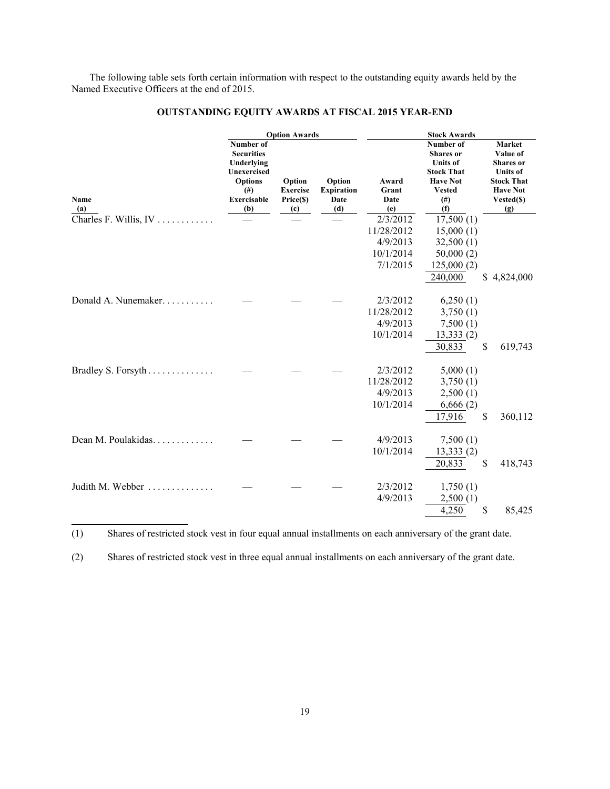The following table sets forth certain information with respect to the outstanding equity awards held by the Named Executive Officers at the end of 2015.

|                       | <b>Option Awards</b>                                                                                                            |                                               |                                            |                                                             |                                                                                                                         |                                                                                                                               |
|-----------------------|---------------------------------------------------------------------------------------------------------------------------------|-----------------------------------------------|--------------------------------------------|-------------------------------------------------------------|-------------------------------------------------------------------------------------------------------------------------|-------------------------------------------------------------------------------------------------------------------------------|
| Name<br>(a)           | Number of<br><b>Securities</b><br>Underlying<br><b>Unexercised</b><br><b>Options</b><br>(# <sup>2</sup> )<br>Exercisable<br>(b) | Option<br><b>Exercise</b><br>Price(\$)<br>(c) | Option<br><b>Expiration</b><br>Date<br>(d) | Award<br>Grant<br>Date<br>(e)                               | Number of<br><b>Shares</b> or<br><b>Units</b> of<br><b>Stock That</b><br><b>Have Not</b><br><b>Vested</b><br>(#)<br>(f) | <b>Market</b><br>Value of<br><b>Shares</b> or<br><b>Units</b> of<br><b>Stock That</b><br><b>Have Not</b><br>Vested(\$)<br>(g) |
| Charles F. Willis, IV |                                                                                                                                 |                                               |                                            | 2/3/2012<br>11/28/2012<br>4/9/2013<br>10/1/2014<br>7/1/2015 | 17,500(1)<br>15,000(1)<br>32,500(1)<br>50,000(2)<br>125,000(2)<br>240,000                                               | \$<br>4,824,000                                                                                                               |
| Donald A. Nunemaker   |                                                                                                                                 |                                               |                                            | 2/3/2012<br>11/28/2012<br>4/9/2013<br>10/1/2014             | 6,250(1)<br>3,750(1)<br>7,500(1)<br>13,333(2)<br>30,833                                                                 | \$<br>619,743                                                                                                                 |
| Bradley S. Forsyth    |                                                                                                                                 |                                               |                                            | 2/3/2012<br>11/28/2012<br>4/9/2013<br>10/1/2014             | 5,000(1)<br>3,750(1)<br>2,500(1)<br>6,666(2)<br>17,916                                                                  | \$<br>360,112                                                                                                                 |
| Dean M. Poulakidas.   |                                                                                                                                 |                                               |                                            | 4/9/2013<br>10/1/2014                                       | 7,500(1)<br>13,333(2)<br>20,833                                                                                         | \$<br>418,743                                                                                                                 |
| Judith M. Webber      |                                                                                                                                 |                                               |                                            | 2/3/2012<br>4/9/2013                                        | 1,750(1)<br>2,500(1)<br>4,250                                                                                           | \$<br>85,425                                                                                                                  |

# **OUTSTANDING EQUITY AWARDS AT FISCAL 2015 YEAR-END**

(1) Shares of restricted stock vest in four equal annual installments on each anniversary of the grant date.

(2) Shares of restricted stock vest in three equal annual installments on each anniversary of the grant date.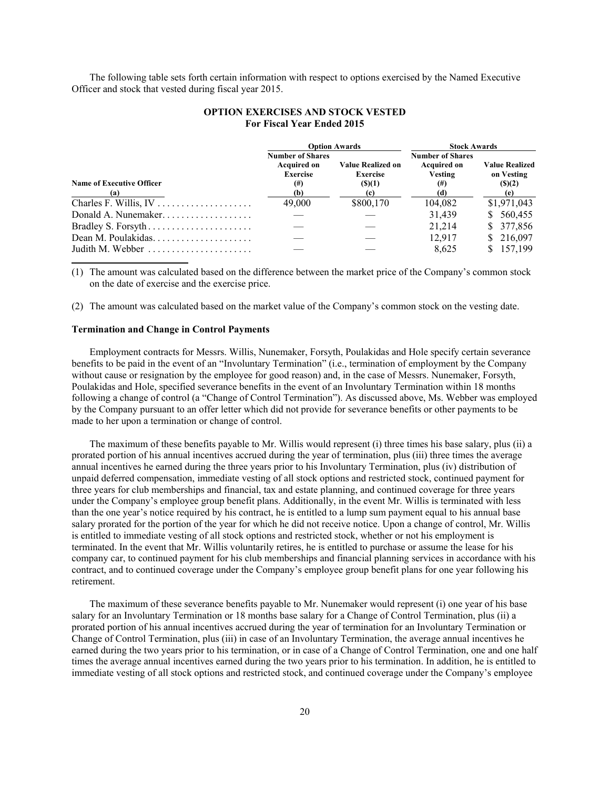The following table sets forth certain information with respect to options exercised by the Named Executive Officer and stock that vested during fiscal year 2015.

|                                         |                                               | <b>Option Awards</b>             | <b>Stock Awards</b>                           |                             |  |
|-----------------------------------------|-----------------------------------------------|----------------------------------|-----------------------------------------------|-----------------------------|--|
|                                         | <b>Number of Shares</b><br><b>Acquired on</b> | <b>Value Realized on</b>         | <b>Number of Shares</b><br><b>Acquired on</b> | <b>Value Realized</b>       |  |
| <b>Name of Executive Officer</b><br>(a) | <b>Exercise</b><br>$^{(#)}$<br>(b)            | <b>Exercise</b><br>(S)(1)<br>(c) | Vesting<br>$^{(#)}$<br>(d)                    | on Vesting<br>(S)(2)<br>(e) |  |
|                                         | 49,000                                        | \$800,170                        | 104,082                                       | \$1,971,043                 |  |
| Donald A. Nunemaker                     |                                               |                                  | 31,439                                        | \$560,455                   |  |
|                                         |                                               |                                  | 21.214                                        | \$377,856                   |  |
|                                         |                                               |                                  | 12.917                                        | \$216,097                   |  |
| Judith M. Webber                        |                                               |                                  | 8.625                                         | \$157,199                   |  |

### **OPTION EXERCISES AND STOCK VESTED For Fiscal Year Ended 2015**

(1) The amount was calculated based on the difference between the market price of the Company's common stock on the date of exercise and the exercise price.

(2) The amount was calculated based on the market value of the Company's common stock on the vesting date.

### **Termination and Change in Control Payments**

Employment contracts for Messrs. Willis, Nunemaker, Forsyth, Poulakidas and Hole specify certain severance benefits to be paid in the event of an "Involuntary Termination" (i.e., termination of employment by the Company without cause or resignation by the employee for good reason) and, in the case of Messrs. Nunemaker, Forsyth, Poulakidas and Hole, specified severance benefits in the event of an Involuntary Termination within 18 months following a change of control (a "Change of Control Termination"). As discussed above, Ms. Webber was employed by the Company pursuant to an offer letter which did not provide for severance benefits or other payments to be made to her upon a termination or change of control.

The maximum of these benefits payable to Mr. Willis would represent (i) three times his base salary, plus (ii) a prorated portion of his annual incentives accrued during the year of termination, plus (iii) three times the average annual incentives he earned during the three years prior to his Involuntary Termination, plus (iv) distribution of unpaid deferred compensation, immediate vesting of all stock options and restricted stock, continued payment for three years for club memberships and financial, tax and estate planning, and continued coverage for three years under the Company's employee group benefit plans. Additionally, in the event Mr. Willis is terminated with less than the one year's notice required by his contract, he is entitled to a lump sum payment equal to his annual base salary prorated for the portion of the year for which he did not receive notice. Upon a change of control, Mr. Willis is entitled to immediate vesting of all stock options and restricted stock, whether or not his employment is terminated. In the event that Mr. Willis voluntarily retires, he is entitled to purchase or assume the lease for his company car, to continued payment for his club memberships and financial planning services in accordance with his contract, and to continued coverage under the Company's employee group benefit plans for one year following his retirement.

The maximum of these severance benefits payable to Mr. Nunemaker would represent (i) one year of his base salary for an Involuntary Termination or 18 months base salary for a Change of Control Termination, plus (ii) a prorated portion of his annual incentives accrued during the year of termination for an Involuntary Termination or Change of Control Termination, plus (iii) in case of an Involuntary Termination, the average annual incentives he earned during the two years prior to his termination, or in case of a Change of Control Termination, one and one half times the average annual incentives earned during the two years prior to his termination. In addition, he is entitled to immediate vesting of all stock options and restricted stock, and continued coverage under the Company's employee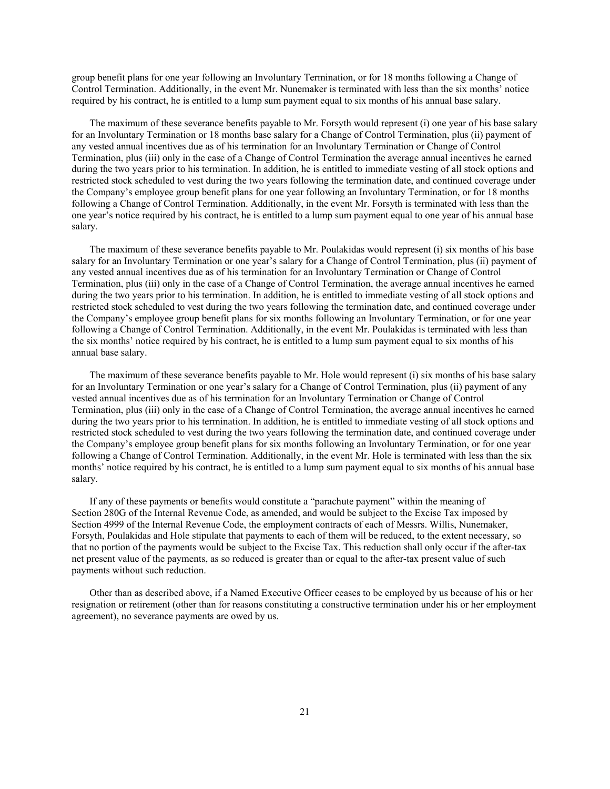group benefit plans for one year following an Involuntary Termination, or for 18 months following a Change of Control Termination. Additionally, in the event Mr. Nunemaker is terminated with less than the six months' notice required by his contract, he is entitled to a lump sum payment equal to six months of his annual base salary.

The maximum of these severance benefits payable to Mr. Forsyth would represent (i) one year of his base salary for an Involuntary Termination or 18 months base salary for a Change of Control Termination, plus (ii) payment of any vested annual incentives due as of his termination for an Involuntary Termination or Change of Control Termination, plus (iii) only in the case of a Change of Control Termination the average annual incentives he earned during the two years prior to his termination. In addition, he is entitled to immediate vesting of all stock options and restricted stock scheduled to vest during the two years following the termination date, and continued coverage under the Company's employee group benefit plans for one year following an Involuntary Termination, or for 18 months following a Change of Control Termination. Additionally, in the event Mr. Forsyth is terminated with less than the one year's notice required by his contract, he is entitled to a lump sum payment equal to one year of his annual base salary.

The maximum of these severance benefits payable to Mr. Poulakidas would represent (i) six months of his base salary for an Involuntary Termination or one year's salary for a Change of Control Termination, plus (ii) payment of any vested annual incentives due as of his termination for an Involuntary Termination or Change of Control Termination, plus (iii) only in the case of a Change of Control Termination, the average annual incentives he earned during the two years prior to his termination. In addition, he is entitled to immediate vesting of all stock options and restricted stock scheduled to vest during the two years following the termination date, and continued coverage under the Company's employee group benefit plans for six months following an Involuntary Termination, or for one year following a Change of Control Termination. Additionally, in the event Mr. Poulakidas is terminated with less than the six months' notice required by his contract, he is entitled to a lump sum payment equal to six months of his annual base salary.

The maximum of these severance benefits payable to Mr. Hole would represent (i) six months of his base salary for an Involuntary Termination or one year's salary for a Change of Control Termination, plus (ii) payment of any vested annual incentives due as of his termination for an Involuntary Termination or Change of Control Termination, plus (iii) only in the case of a Change of Control Termination, the average annual incentives he earned during the two years prior to his termination. In addition, he is entitled to immediate vesting of all stock options and restricted stock scheduled to vest during the two years following the termination date, and continued coverage under the Company's employee group benefit plans for six months following an Involuntary Termination, or for one year following a Change of Control Termination. Additionally, in the event Mr. Hole is terminated with less than the six months' notice required by his contract, he is entitled to a lump sum payment equal to six months of his annual base salary.

If any of these payments or benefits would constitute a "parachute payment" within the meaning of Section 280G of the Internal Revenue Code, as amended, and would be subject to the Excise Tax imposed by Section 4999 of the Internal Revenue Code, the employment contracts of each of Messrs. Willis, Nunemaker, Forsyth, Poulakidas and Hole stipulate that payments to each of them will be reduced, to the extent necessary, so that no portion of the payments would be subject to the Excise Tax. This reduction shall only occur if the after-tax net present value of the payments, as so reduced is greater than or equal to the after-tax present value of such payments without such reduction.

Other than as described above, if a Named Executive Officer ceases to be employed by us because of his or her resignation or retirement (other than for reasons constituting a constructive termination under his or her employment agreement), no severance payments are owed by us.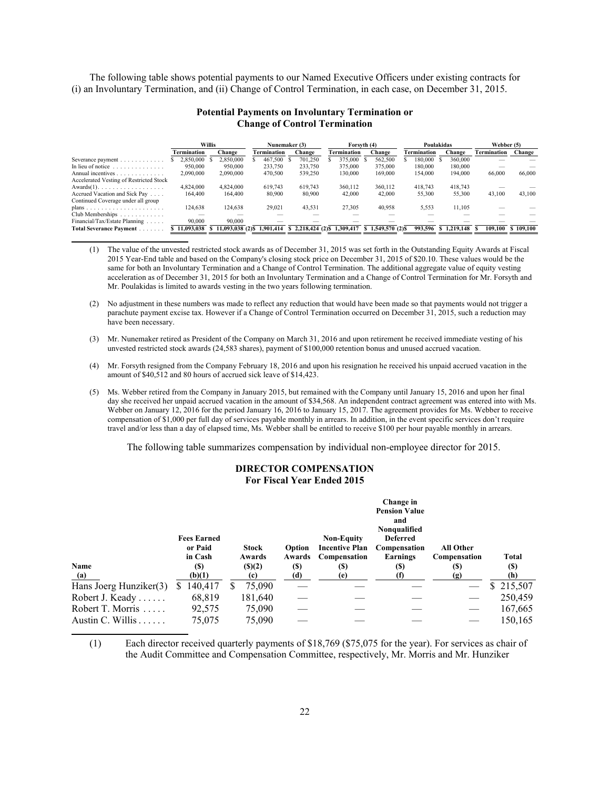The following table shows potential payments to our Named Executive Officers under existing contracts for (i) an Involuntary Termination, and (ii) Change of Control Termination, in each case, on December 31, 2015.

### **Potential Payments on Involuntary Termination or Change of Control Termination**

|                                                 | <b>Willis</b>      |                   | Nunemaker (3) |                | Forsyth (4) |                        | Poulakidas  |                 | Webber (5)  |         |
|-------------------------------------------------|--------------------|-------------------|---------------|----------------|-------------|------------------------|-------------|-----------------|-------------|---------|
|                                                 | <b>Termination</b> | Change            | Termination   | Change         | Termination | Change                 | Termination | Change          | Termination | Change  |
| Severance payment                               | 2.850.000          | 2.850.000         | 467,500       | 701.250        | 375.000     | 562.500                | 180.000     | 360,000         |             |         |
| In lieu of notice $\ldots \ldots \ldots \ldots$ | 950.000            | 950.000           | 233.750       | 233.750        | 375.000     | 375.000                | 180,000     | 180,000         |             |         |
| Annual incentives                               | 2,090,000          | 2,090,000         | 470,500       | 539,250        | 130,000     | 169,000                | 154.000     | 194,000         | 66,000      | 66,000  |
| Accelerated Vesting of Restricted Stock         |                    |                   |               |                |             |                        |             |                 |             |         |
| $Awards(1)$ .                                   | 4.824.000          | 4.824.000         | 619.743       | 619.743        | 360.112     | 360.112                | 418.743     | 418.743         |             |         |
| Accrued Vacation and Sick Pay                   | 164.400            | 164.400           | 80,900        | 80,900         | 42.000      | 42.000                 | 55,300      | 55,300          | 43,100      | 43,100  |
| Continued Coverage under all group              |                    |                   |               |                |             |                        |             |                 |             |         |
|                                                 | 124,638            | 124.638           | 29,021        | 43,531         | 27.305      | 40,958                 | 5,553       | 11,105          |             |         |
| Club Memberships                                |                    |                   |               |                |             |                        |             |                 |             |         |
| Financial/Tax/Estate Planning                   | 90.000             | 90.000            |               |                |             |                        |             |                 |             |         |
| Total Severance Payment                         | 11.093.038         | 11,093,038 (2) \$ | 1.901.414     | \$2,218,424(2) | 1.309.417   | 1.549.570 (2) \$<br>N. | 993.596     | 1.219.148<br>N. | 109.100     | 109.100 |

(1) The value of the unvested restricted stock awards as of December 31, 2015 was set forth in the Outstanding Equity Awards at Fiscal 2015 Year-End table and based on the Company's closing stock price on December 31, 2015 of \$20.10. These values would be the same for both an Involuntary Termination and a Change of Control Termination. The additional aggregate value of equity vesting acceleration as of December 31, 2015 for both an Involuntary Termination and a Change of Control Termination for Mr. Forsyth and Mr. Poulakidas is limited to awards vesting in the two years following termination.

(2) No adjustment in these numbers was made to reflect any reduction that would have been made so that payments would not trigger a parachute payment excise tax. However if a Change of Control Termination occurred on December 31, 2015, such a reduction may have been necessary.

(3) Mr. Nunemaker retired as President of the Company on March 31, 2016 and upon retirement he received immediate vesting of his unvested restricted stock awards (24,583 shares), payment of \$100,000 retention bonus and unused accrued vacation.

(4) Mr. Forsyth resigned from the Company February 18, 2016 and upon his resignation he received his unpaid accrued vacation in the amount of \$40,512 and 80 hours of accrued sick leave of \$14,423.

(5) Ms. Webber retired from the Company in January 2015, but remained with the Company until January 15, 2016 and upon her final day she received her unpaid accrued vacation in the amount of \$34,568. An independent contract agreement was entered into with Ms. Webber on January 12, 2016 for the period January 16, 2016 to January 15, 2017. The agreement provides for Ms. Webber to receive compensation of \$1,000 per full day of services payable monthly in arrears. In addition, in the event specific services don't require travel and/or less than a day of elapsed time, Ms. Webber shall be entitled to receive \$100 per hour payable monthly in arrears.

The following table summarizes compensation by individual non-employee director for 2015.

#### **DIRECTOR COMPENSATION For Fiscal Year Ended 2015**

|                        | <b>Fees Earned</b><br>or Paid<br>in Cash |    | <b>Stock</b><br>Awards | <b>Option</b><br>Awards | <b>Non-Equity</b><br><b>Incentive Plan</b><br>Compensation | Change in<br><b>Pension Value</b><br>and<br>Nonqualified<br><b>Deferred</b><br>Compensation<br>Earnings | <b>All Other</b><br>Compensation | Total     |
|------------------------|------------------------------------------|----|------------------------|-------------------------|------------------------------------------------------------|---------------------------------------------------------------------------------------------------------|----------------------------------|-----------|
| Name                   | <b>(S)</b>                               |    | (S)(2)                 | (S)                     | (S)                                                        | (S)                                                                                                     | (\$)                             | (S)       |
| (a)                    | (b)(1)                                   |    | (c)                    | (d)                     | (e)                                                        |                                                                                                         | (g)                              | (h)       |
| Hans Joerg Hunziker(3) | 140,417<br>S.                            | S. | 75,090                 |                         |                                                            |                                                                                                         |                                  | \$215,507 |
| Robert J. Keady        | 68,819                                   |    | 181,640                |                         |                                                            |                                                                                                         |                                  | 250,459   |
| Robert T. Morris       | 92,575                                   |    | 75,090                 |                         |                                                            |                                                                                                         |                                  | 167,665   |
| Austin C. Willis       | 75,075                                   |    | 75.090                 |                         |                                                            |                                                                                                         |                                  | 150,165   |

(1) Each director received quarterly payments of \$18,769 (\$75,075 for the year). For services as chair of the Audit Committee and Compensation Committee, respectively, Mr. Morris and Mr. Hunziker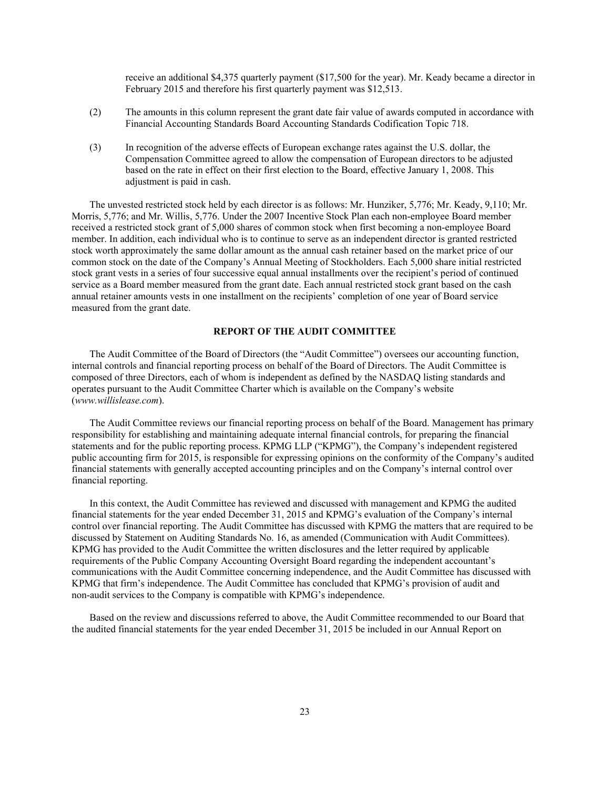receive an additional \$4,375 quarterly payment (\$17,500 for the year). Mr. Keady became a director in February 2015 and therefore his first quarterly payment was \$12,513.

- (2) The amounts in this column represent the grant date fair value of awards computed in accordance with Financial Accounting Standards Board Accounting Standards Codification Topic 718.
- (3) In recognition of the adverse effects of European exchange rates against the U.S. dollar, the Compensation Committee agreed to allow the compensation of European directors to be adjusted based on the rate in effect on their first election to the Board, effective January 1, 2008. This adjustment is paid in cash.

The unvested restricted stock held by each director is as follows: Mr. Hunziker, 5,776; Mr. Keady, 9,110; Mr. Morris, 5,776; and Mr. Willis, 5,776. Under the 2007 Incentive Stock Plan each non-employee Board member received a restricted stock grant of 5,000 shares of common stock when first becoming a non-employee Board member. In addition, each individual who is to continue to serve as an independent director is granted restricted stock worth approximately the same dollar amount as the annual cash retainer based on the market price of our common stock on the date of the Company's Annual Meeting of Stockholders. Each 5,000 share initial restricted stock grant vests in a series of four successive equal annual installments over the recipient's period of continued service as a Board member measured from the grant date. Each annual restricted stock grant based on the cash annual retainer amounts vests in one installment on the recipients' completion of one year of Board service measured from the grant date.

#### **REPORT OF THE AUDIT COMMITTEE**

The Audit Committee of the Board of Directors (the "Audit Committee") oversees our accounting function, internal controls and financial reporting process on behalf of the Board of Directors. The Audit Committee is composed of three Directors, each of whom is independent as defined by the NASDAQ listing standards and operates pursuant to the Audit Committee Charter which is available on the Company's website (*www.willislease.com*).

The Audit Committee reviews our financial reporting process on behalf of the Board. Management has primary responsibility for establishing and maintaining adequate internal financial controls, for preparing the financial statements and for the public reporting process. KPMG LLP ("KPMG"), the Company's independent registered public accounting firm for 2015, is responsible for expressing opinions on the conformity of the Company's audited financial statements with generally accepted accounting principles and on the Company's internal control over financial reporting.

In this context, the Audit Committee has reviewed and discussed with management and KPMG the audited financial statements for the year ended December 31, 2015 and KPMG's evaluation of the Company's internal control over financial reporting. The Audit Committee has discussed with KPMG the matters that are required to be discussed by Statement on Auditing Standards No. 16, as amended (Communication with Audit Committees). KPMG has provided to the Audit Committee the written disclosures and the letter required by applicable requirements of the Public Company Accounting Oversight Board regarding the independent accountant's communications with the Audit Committee concerning independence, and the Audit Committee has discussed with KPMG that firm's independence. The Audit Committee has concluded that KPMG's provision of audit and non-audit services to the Company is compatible with KPMG's independence.

Based on the review and discussions referred to above, the Audit Committee recommended to our Board that the audited financial statements for the year ended December 31, 2015 be included in our Annual Report on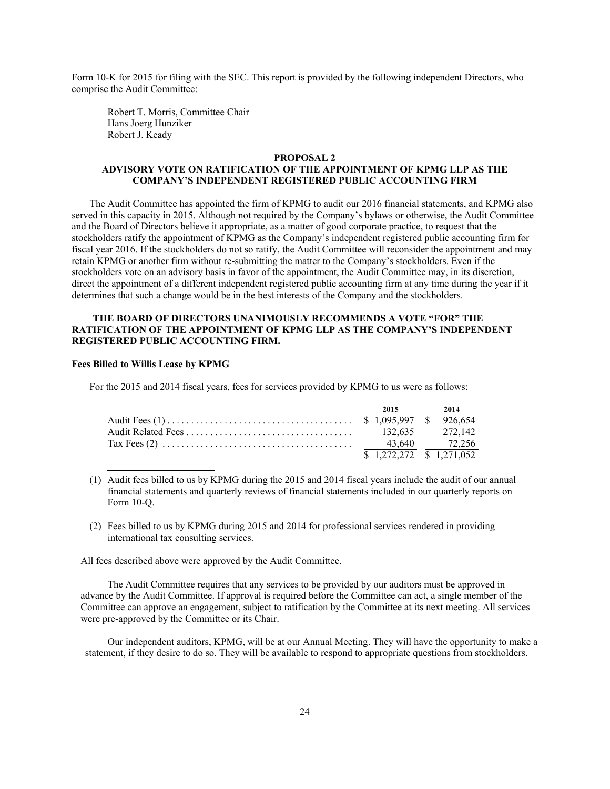Form 10-K for 2015 for filing with the SEC. This report is provided by the following independent Directors, who comprise the Audit Committee:

Robert T. Morris, Committee Chair Hans Joerg Hunziker Robert J. Keady

#### **PROPOSAL 2**

### **ADVISORY VOTE ON RATIFICATION OF THE APPOINTMENT OF KPMG LLP AS THE COMPANY'S INDEPENDENT REGISTERED PUBLIC ACCOUNTING FIRM**

The Audit Committee has appointed the firm of KPMG to audit our 2016 financial statements, and KPMG also served in this capacity in 2015. Although not required by the Company's bylaws or otherwise, the Audit Committee and the Board of Directors believe it appropriate, as a matter of good corporate practice, to request that the stockholders ratify the appointment of KPMG as the Company's independent registered public accounting firm for fiscal year 2016. If the stockholders do not so ratify, the Audit Committee will reconsider the appointment and may retain KPMG or another firm without re-submitting the matter to the Company's stockholders. Even if the stockholders vote on an advisory basis in favor of the appointment, the Audit Committee may, in its discretion, direct the appointment of a different independent registered public accounting firm at any time during the year if it determines that such a change would be in the best interests of the Company and the stockholders.

### **THE BOARD OF DIRECTORS UNANIMOUSLY RECOMMENDS A VOTE "FOR" THE RATIFICATION OF THE APPOINTMENT OF KPMG LLP AS THE COMPANY'S INDEPENDENT REGISTERED PUBLIC ACCOUNTING FIRM.**

### **Fees Billed to Willis Lease by KPMG**

For the 2015 and 2014 fiscal years, fees for services provided by KPMG to us were as follows:

|                                                                                               | 2015                      | 2014            |
|-----------------------------------------------------------------------------------------------|---------------------------|-----------------|
|                                                                                               |                           |                 |
|                                                                                               |                           | 132.635 272.142 |
| Tax Fees (2) $\ldots$ $\ldots$ $\ldots$ $\ldots$ $\ldots$ $\ldots$ $\ldots$ $\ldots$ $\ldots$ |                           | 43,640 72,256   |
|                                                                                               | $$1,272,272$ $$1,271,052$ |                 |

(1) Audit fees billed to us by KPMG during the 2015 and 2014 fiscal years include the audit of our annual financial statements and quarterly reviews of financial statements included in our quarterly reports on Form 10-Q.

(2) Fees billed to us by KPMG during 2015 and 2014 for professional services rendered in providing international tax consulting services.

All fees described above were approved by the Audit Committee.

 The Audit Committee requires that any services to be provided by our auditors must be approved in advance by the Audit Committee. If approval is required before the Committee can act, a single member of the Committee can approve an engagement, subject to ratification by the Committee at its next meeting. All services were pre-approved by the Committee or its Chair.

 Our independent auditors, KPMG, will be at our Annual Meeting. They will have the opportunity to make a statement, if they desire to do so. They will be available to respond to appropriate questions from stockholders.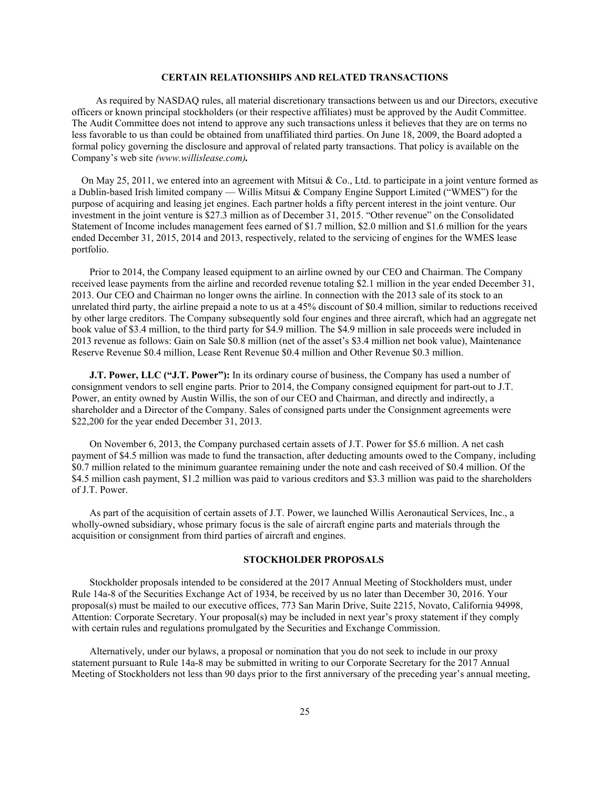#### **CERTAIN RELATIONSHIPS AND RELATED TRANSACTIONS**

 As required by NASDAQ rules, all material discretionary transactions between us and our Directors, executive officers or known principal stockholders (or their respective affiliates) must be approved by the Audit Committee. The Audit Committee does not intend to approve any such transactions unless it believes that they are on terms no less favorable to us than could be obtained from unaffiliated third parties. On June 18, 2009, the Board adopted a formal policy governing the disclosure and approval of related party transactions. That policy is available on the Company's web site *(www.willislease.com).*

On May 25, 2011, we entered into an agreement with Mitsui & Co., Ltd. to participate in a joint venture formed as a Dublin-based Irish limited company — Willis Mitsui & Company Engine Support Limited ("WMES") for the purpose of acquiring and leasing jet engines. Each partner holds a fifty percent interest in the joint venture. Our investment in the joint venture is \$27.3 million as of December 31, 2015. "Other revenue" on the Consolidated Statement of Income includes management fees earned of \$1.7 million, \$2.0 million and \$1.6 million for the years ended December 31, 2015, 2014 and 2013, respectively, related to the servicing of engines for the WMES lease portfolio.

Prior to 2014, the Company leased equipment to an airline owned by our CEO and Chairman. The Company received lease payments from the airline and recorded revenue totaling \$2.1 million in the year ended December 31, 2013. Our CEO and Chairman no longer owns the airline. In connection with the 2013 sale of its stock to an unrelated third party, the airline prepaid a note to us at a 45% discount of \$0.4 million, similar to reductions received by other large creditors. The Company subsequently sold four engines and three aircraft, which had an aggregate net book value of \$3.4 million, to the third party for \$4.9 million. The \$4.9 million in sale proceeds were included in 2013 revenue as follows: Gain on Sale \$0.8 million (net of the asset's \$3.4 million net book value), Maintenance Reserve Revenue \$0.4 million, Lease Rent Revenue \$0.4 million and Other Revenue \$0.3 million.

**J.T. Power, LLC ("J.T. Power"):** In its ordinary course of business, the Company has used a number of consignment vendors to sell engine parts. Prior to 2014, the Company consigned equipment for part-out to J.T. Power, an entity owned by Austin Willis, the son of our CEO and Chairman, and directly and indirectly, a shareholder and a Director of the Company. Sales of consigned parts under the Consignment agreements were \$22,200 for the year ended December 31, 2013.

On November 6, 2013, the Company purchased certain assets of J.T. Power for \$5.6 million. A net cash payment of \$4.5 million was made to fund the transaction, after deducting amounts owed to the Company, including \$0.7 million related to the minimum guarantee remaining under the note and cash received of \$0.4 million. Of the \$4.5 million cash payment, \$1.2 million was paid to various creditors and \$3.3 million was paid to the shareholders of J.T. Power.

As part of the acquisition of certain assets of J.T. Power, we launched Willis Aeronautical Services, Inc., a wholly-owned subsidiary, whose primary focus is the sale of aircraft engine parts and materials through the acquisition or consignment from third parties of aircraft and engines.

### **STOCKHOLDER PROPOSALS**

Stockholder proposals intended to be considered at the 2017 Annual Meeting of Stockholders must, under Rule 14a-8 of the Securities Exchange Act of 1934, be received by us no later than December 30, 2016. Your proposal(s) must be mailed to our executive offices, 773 San Marin Drive, Suite 2215, Novato, California 94998, Attention: Corporate Secretary. Your proposal(s) may be included in next year's proxy statement if they comply with certain rules and regulations promulgated by the Securities and Exchange Commission.

Alternatively, under our bylaws, a proposal or nomination that you do not seek to include in our proxy statement pursuant to Rule 14a-8 may be submitted in writing to our Corporate Secretary for the 2017 Annual Meeting of Stockholders not less than 90 days prior to the first anniversary of the preceding year's annual meeting,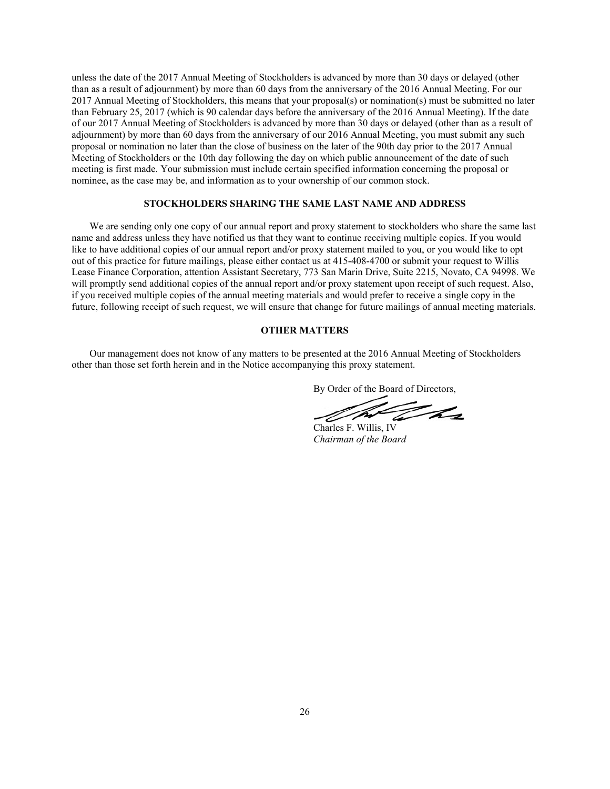unless the date of the 2017 Annual Meeting of Stockholders is advanced by more than 30 days or delayed (other than as a result of adjournment) by more than 60 days from the anniversary of the 2016 Annual Meeting. For our 2017 Annual Meeting of Stockholders, this means that your proposal(s) or nomination(s) must be submitted no later than February 25, 2017 (which is 90 calendar days before the anniversary of the 2016 Annual Meeting). If the date of our 2017 Annual Meeting of Stockholders is advanced by more than 30 days or delayed (other than as a result of adjournment) by more than 60 days from the anniversary of our 2016 Annual Meeting, you must submit any such proposal or nomination no later than the close of business on the later of the 90th day prior to the 2017 Annual Meeting of Stockholders or the 10th day following the day on which public announcement of the date of such meeting is first made. Your submission must include certain specified information concerning the proposal or nominee, as the case may be, and information as to your ownership of our common stock.

#### **STOCKHOLDERS SHARING THE SAME LAST NAME AND ADDRESS**

We are sending only one copy of our annual report and proxy statement to stockholders who share the same last name and address unless they have notified us that they want to continue receiving multiple copies. If you would like to have additional copies of our annual report and/or proxy statement mailed to you, or you would like to opt out of this practice for future mailings, please either contact us at 415-408-4700 or submit your request to Willis Lease Finance Corporation, attention Assistant Secretary, 773 San Marin Drive, Suite 2215, Novato, CA 94998. We will promptly send additional copies of the annual report and/or proxy statement upon receipt of such request. Also, if you received multiple copies of the annual meeting materials and would prefer to receive a single copy in the future, following receipt of such request, we will ensure that change for future mailings of annual meeting materials.

#### **OTHER MATTERS**

Our management does not know of any matters to be presented at the 2016 Annual Meeting of Stockholders other than those set forth herein and in the Notice accompanying this proxy statement.

By Order of the Board of Directors,

<u>INN</u> t hr Charles F. Willis, IV

*Chairman of the Board*